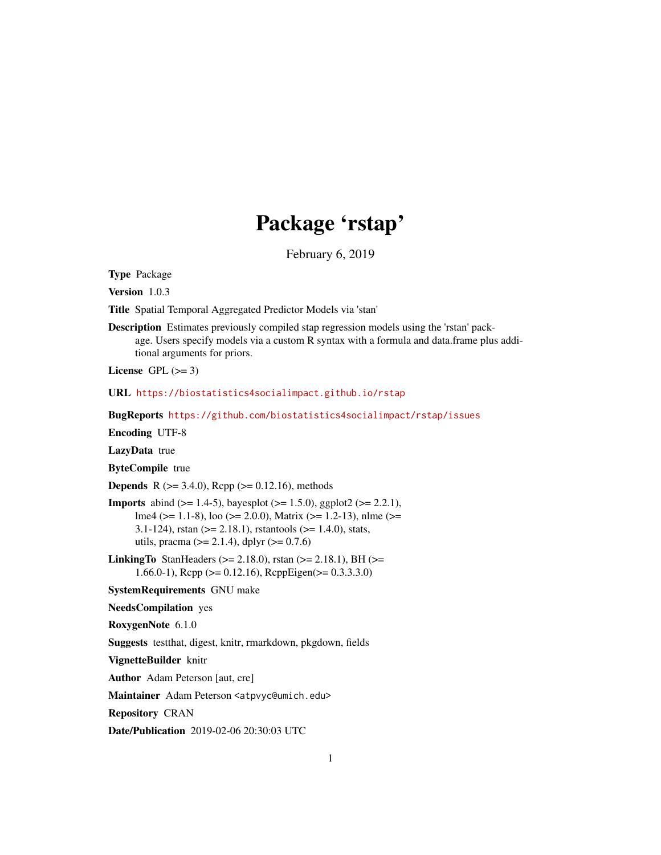# Package 'rstap'

February 6, 2019

<span id="page-0-0"></span>Type Package

Version 1.0.3

Title Spatial Temporal Aggregated Predictor Models via 'stan'

Description Estimates previously compiled stap regression models using the 'rstan' package. Users specify models via a custom R syntax with a formula and data.frame plus additional arguments for priors.

License GPL  $(>= 3)$ 

URL <https://biostatistics4socialimpact.github.io/rstap>

BugReports <https://github.com/biostatistics4socialimpact/rstap/issues>

Encoding UTF-8

LazyData true

ByteCompile true

**Depends** R ( $>= 3.4.0$ ), Rcpp ( $>= 0.12.16$ ), methods

**Imports** abind ( $>= 1.4-5$ ), bayesplot ( $>= 1.5.0$ ), ggplot2 ( $>= 2.2.1$ ), lme4 (>= 1.1-8), loo (>= 2.0.0), Matrix (>= 1.2-13), nlme (>= 3.1-124), rstan ( $>= 2.18.1$ ), rstantools ( $>= 1.4.0$ ), stats, utils, pracma ( $>= 2.1.4$ ), dplyr ( $>= 0.7.6$ )

**LinkingTo** StanHeaders ( $>= 2.18.0$ ), rstan ( $>= 2.18.1$ ), BH ( $>=$ 1.66.0-1), Rcpp ( $>= 0.12.16$ ), RcppEigen( $>= 0.3.3.3.0$ )

SystemRequirements GNU make

NeedsCompilation yes

RoxygenNote 6.1.0

Suggests testthat, digest, knitr, rmarkdown, pkgdown, fields

VignetteBuilder knitr

Author Adam Peterson [aut, cre]

Maintainer Adam Peterson <atpvyc@umich.edu>

Repository CRAN

Date/Publication 2019-02-06 20:30:03 UTC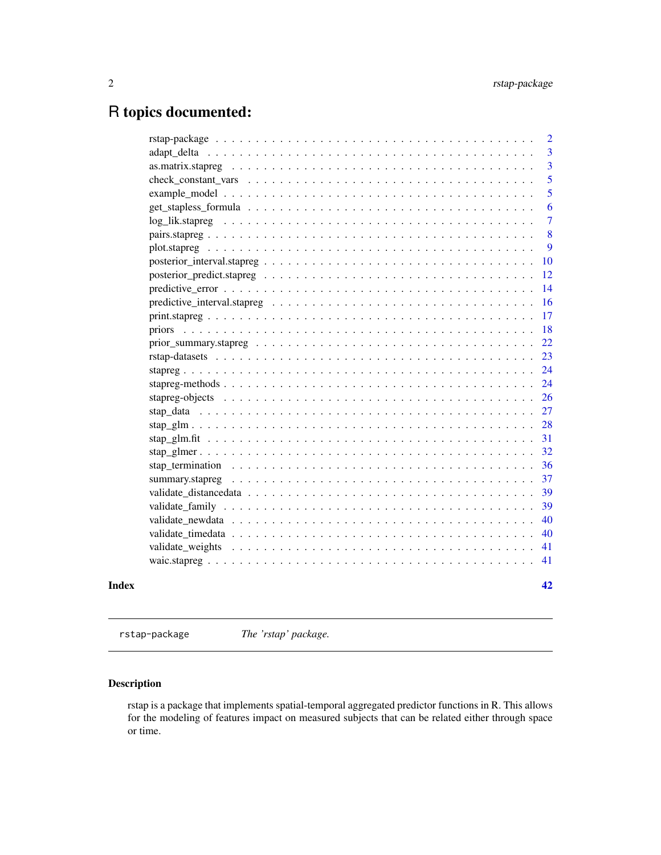# <span id="page-1-0"></span>R topics documented:

|       | $\overline{2}$ |
|-------|----------------|
|       | 3              |
|       | $\overline{3}$ |
|       | 5              |
|       | 5              |
|       | 6              |
|       | $\overline{7}$ |
|       | 8              |
|       | 9              |
|       | 10             |
|       | 12             |
|       | 14             |
|       | 16             |
|       | 17             |
|       | 18             |
|       | 22             |
|       | 23             |
|       | 24             |
|       | 24             |
|       | 26             |
|       | 27             |
|       | 28             |
|       | 31             |
|       | 32             |
|       | 36             |
|       | 37             |
|       | 39             |
|       | 39             |
|       | 40             |
|       | 40             |
|       | 41             |
|       | 41             |
| Index | 42             |

rstap-package *The 'rstap' package.*

## Description

rstap is a package that implements spatial-temporal aggregated predictor functions in R. This allows for the modeling of features impact on measured subjects that can be related either through space or time.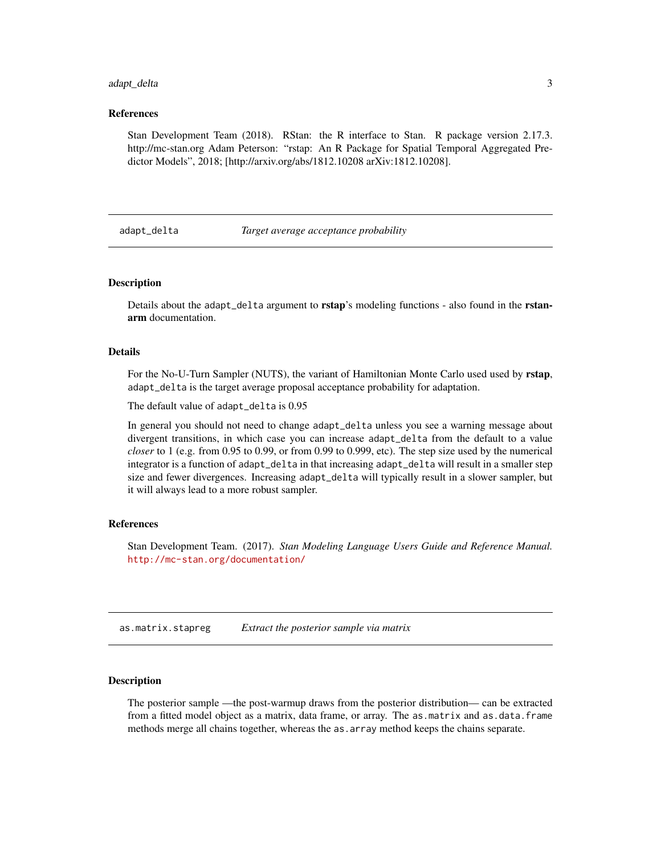## <span id="page-2-0"></span>adapt\_delta 3

## References

Stan Development Team (2018). RStan: the R interface to Stan. R package version 2.17.3. http://mc-stan.org Adam Peterson: "rstap: An R Package for Spatial Temporal Aggregated Predictor Models", 2018; [http://arxiv.org/abs/1812.10208 arXiv:1812.10208].

<span id="page-2-2"></span>adapt\_delta *Target average acceptance probability*

#### Description

Details about the adapt\_delta argument to **rstap**'s modeling functions - also found in the **rstan**arm documentation.

## Details

For the No-U-Turn Sampler (NUTS), the variant of Hamiltonian Monte Carlo used used by rstap, adapt\_delta is the target average proposal acceptance probability for adaptation.

The default value of adapt\_delta is 0.95

In general you should not need to change adapt\_delta unless you see a warning message about divergent transitions, in which case you can increase adapt\_delta from the default to a value *closer* to 1 (e.g. from 0.95 to 0.99, or from 0.99 to 0.999, etc). The step size used by the numerical integrator is a function of adapt\_delta in that increasing adapt\_delta will result in a smaller step size and fewer divergences. Increasing adapt\_delta will typically result in a slower sampler, but it will always lead to a more robust sampler.

#### References

Stan Development Team. (2017). *Stan Modeling Language Users Guide and Reference Manual.* <http://mc-stan.org/documentation/>

<span id="page-2-1"></span>as.matrix.stapreg *Extract the posterior sample via matrix*

#### Description

The posterior sample —the post-warmup draws from the posterior distribution— can be extracted from a fitted model object as a matrix, data frame, or array. The as matrix and as data. frame methods merge all chains together, whereas the as.array method keeps the chains separate.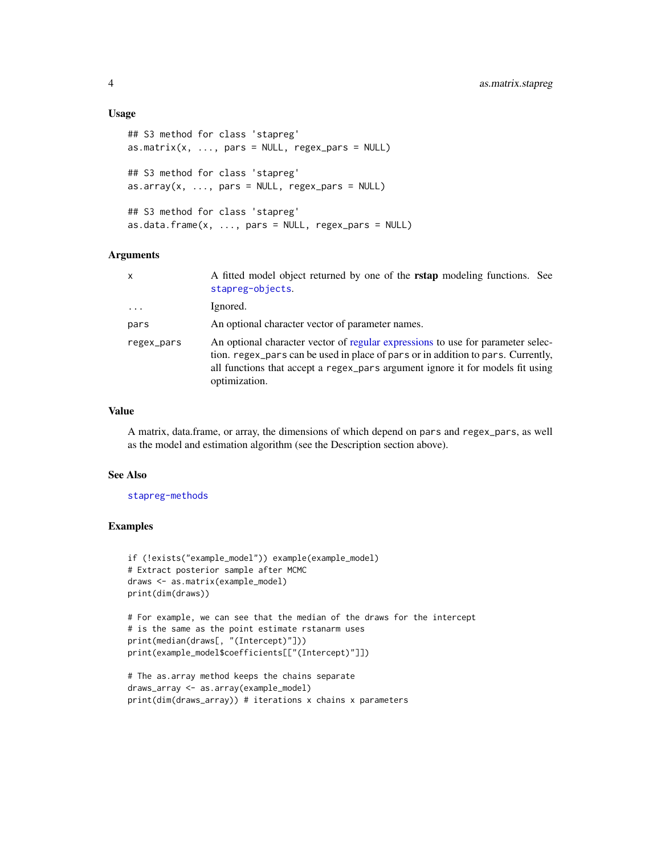## Usage

```
## S3 method for class 'stapreg'
as.matrix(x, ..., pars = NULL, regex\_pars = NULL)## S3 method for class 'stapreg'
as.array(x, ..., pars = NULL, regex\_pars = NULL)## S3 method for class 'stapreg'
as.data.fname(x, ..., pars = NULL, regex\_pars = NULL)
```
## Arguments

| $\mathsf{x}$            | A fitted model object returned by one of the <b>rstap</b> modeling functions. See<br>stapreg-objects.                                                                                                                                                                  |
|-------------------------|------------------------------------------------------------------------------------------------------------------------------------------------------------------------------------------------------------------------------------------------------------------------|
| $\cdot$ $\cdot$ $\cdot$ | Ignored.                                                                                                                                                                                                                                                               |
| pars                    | An optional character vector of parameter names.                                                                                                                                                                                                                       |
| regex_pars              | An optional character vector of regular expressions to use for parameter selec-<br>tion. regex_pars can be used in place of pars or in addition to pars. Currently,<br>all functions that accept a regex_pars argument ignore it for models fit using<br>optimization. |

## Value

A matrix, data.frame, or array, the dimensions of which depend on pars and regex\_pars, as well as the model and estimation algorithm (see the Description section above).

## See Also

## [stapreg-methods](#page-23-1)

#### Examples

```
if (!exists("example_model")) example(example_model)
# Extract posterior sample after MCMC
draws <- as.matrix(example_model)
print(dim(draws))
```

```
# For example, we can see that the median of the draws for the intercept
# is the same as the point estimate rstanarm uses
print(median(draws[, "(Intercept)"]))
print(example_model$coefficients[["(Intercept)"]])
```

```
# The as.array method keeps the chains separate
draws_array <- as.array(example_model)
print(dim(draws_array)) # iterations x chains x parameters
```
<span id="page-3-0"></span>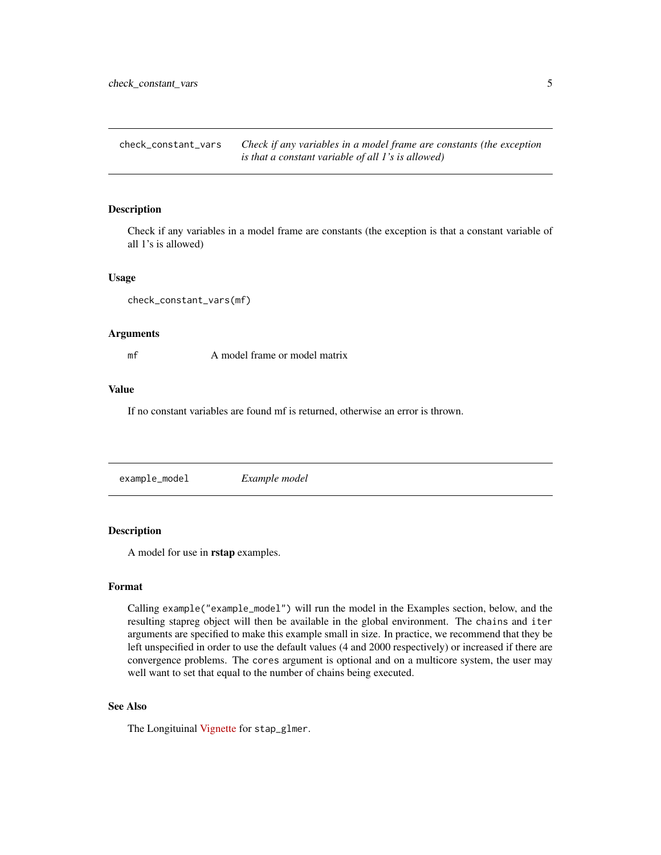<span id="page-4-0"></span>check\_constant\_vars *Check if any variables in a model frame are constants (the exception is that a constant variable of all 1's is allowed)*

### Description

Check if any variables in a model frame are constants (the exception is that a constant variable of all 1's is allowed)

## Usage

```
check_constant_vars(mf)
```
## Arguments

mf A model frame or model matrix

## Value

If no constant variables are found mf is returned, otherwise an error is thrown.

example\_model *Example model*

## Description

A model for use in rstap examples.

#### Format

Calling example("example\_model") will run the model in the Examples section, below, and the resulting stapreg object will then be available in the global environment. The chains and iter arguments are specified to make this example small in size. In practice, we recommend that they be left unspecified in order to use the default values (4 and 2000 respectively) or increased if there are convergence problems. The cores argument is optional and on a multicore system, the user may well want to set that equal to the number of chains being executed.

## See Also

The Longituinal [Vignette](https://biostatistics4socialimpact.github.io/rstap/articles/longitudinal-I.html) for stap\_glmer.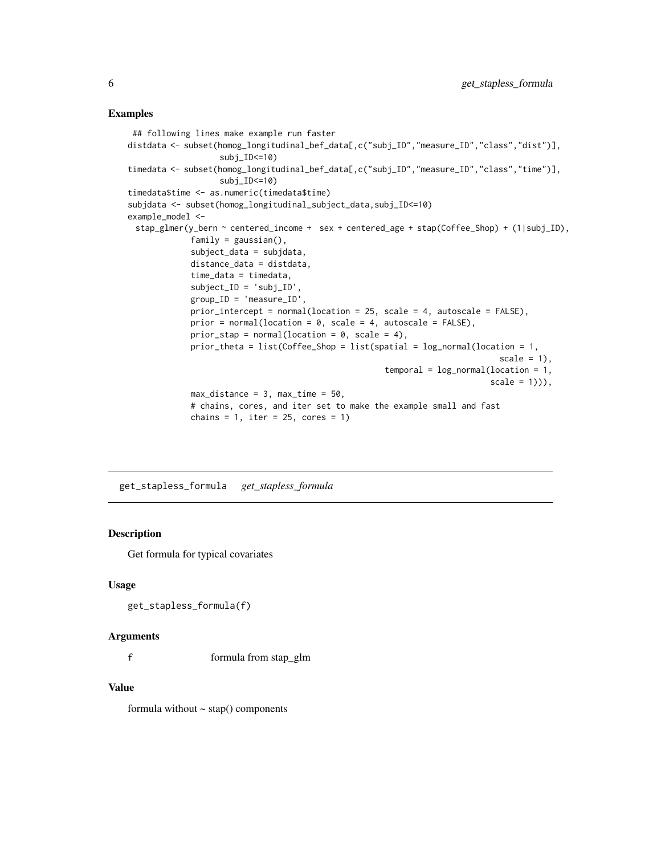## <span id="page-5-0"></span>Examples

```
## following lines make example run faster
distdata <- subset(homog_longitudinal_bef_data[,c("subj_ID","measure_ID","class","dist")],
                   subj_ID<=10)
timedata <- subset(homog_longitudinal_bef_data[,c("subj_ID","measure_ID","class","time")],
                   subj_ID<=10)
timedata$time <- as.numeric(timedata$time)
subjdata <- subset(homog_longitudinal_subject_data,subj_ID<=10)
example_model <-
 stap_glmer(y_bern ~ centered_income + sex + centered_age + stap(Coffee_Shop) + (1|subj_ID),
             family = gaussian(),
             subject_data = subjdata,
             distance_data = distdata,
             time_data = timedata,
             subject_ID = 'subj_ID',
             group_ID = 'measure_ID',
             prior_intercept = normal(location = 25, scale = 4, autoscale = FALSE),
             prior = normal(location = 0, scale = 4, autoscale = FALSE),
             prior_stap = normal(location = 0, scale = 4),
             prior_theta = list(Coffee_Shop = list(spatial = log_normal(location = 1,
                                                                              scale = 1),
                                                     temporal = log-normal(location = 1,scale = 1)),
             max\_distance = 3, max\_time = 50,
             # chains, cores, and iter set to make the example small and fast
             chains = 1, iter = 25, cores = 1)
```
get\_stapless\_formula *get\_stapless\_formula*

## Description

Get formula for typical covariates

## Usage

```
get_stapless_formula(f)
```
#### **Arguments**

f formula from stap\_glm

## Value

formula without  $\sim$  stap() components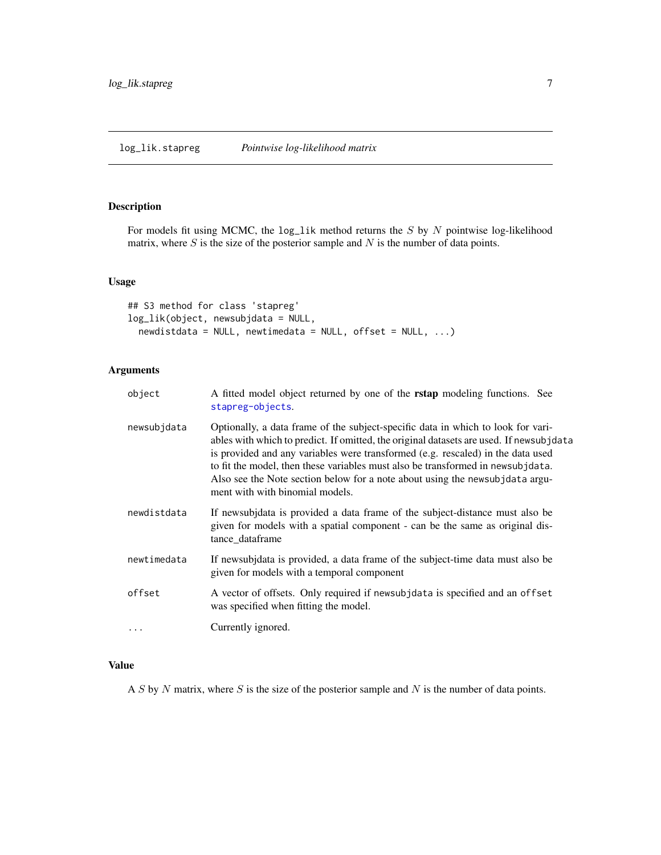<span id="page-6-0"></span>log\_lik.stapreg *Pointwise log-likelihood matrix*

## <span id="page-6-1"></span>Description

For models fit using MCMC, the  $log\_lik$  method returns the S by N pointwise log-likelihood matrix, where  $S$  is the size of the posterior sample and  $N$  is the number of data points.

## Usage

```
## S3 method for class 'stapreg'
log_lik(object, newsubjdata = NULL,
 newdistdata = NULL, newtimedata = NULL, offset = NULL, ...)
```
## Arguments

| object      | A fitted model object returned by one of the <b>rstap</b> modeling functions. See<br>stapreg-objects.                                                                                                                                                                                                                                                                                                                                                                |
|-------------|----------------------------------------------------------------------------------------------------------------------------------------------------------------------------------------------------------------------------------------------------------------------------------------------------------------------------------------------------------------------------------------------------------------------------------------------------------------------|
| newsubjdata | Optionally, a data frame of the subject-specific data in which to look for vari-<br>ables with which to predict. If omitted, the original datasets are used. If newsubjdata<br>is provided and any variables were transformed (e.g. rescaled) in the data used<br>to fit the model, then these variables must also be transformed in newsubjdata.<br>Also see the Note section below for a note about using the newsubjdata argu-<br>ment with with binomial models. |
| newdistdata | If newsubjdata is provided a data frame of the subject-distance must also be<br>given for models with a spatial component - can be the same as original dis-<br>tance dataframe                                                                                                                                                                                                                                                                                      |
| newtimedata | If newsubjdata is provided, a data frame of the subject-time data must also be<br>given for models with a temporal component                                                                                                                                                                                                                                                                                                                                         |
| offset      | A vector of offsets. Only required if newsubjdata is specified and an offset<br>was specified when fitting the model.                                                                                                                                                                                                                                                                                                                                                |
| $\ddots$    | Currently ignored.                                                                                                                                                                                                                                                                                                                                                                                                                                                   |

## Value

A  $S$  by  $N$  matrix, where  $S$  is the size of the posterior sample and  $N$  is the number of data points.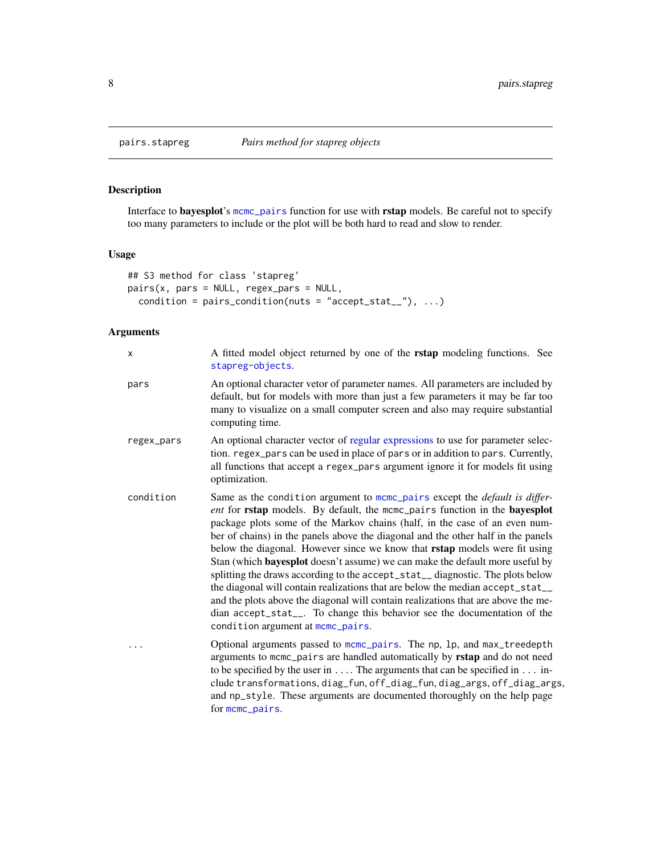## Description

Interface to bayesplot's [mcmc\\_pairs](#page-0-0) function for use with rstap models. Be careful not to specify too many parameters to include or the plot will be both hard to read and slow to render.

## Usage

```
## S3 method for class 'stapreg'
pairs(x, pars = NULL, regex_pars = NULL,
  condition = pairs_condition(nuts = "accept_stat__"), \dots)
```
## Arguments

| x          | A fitted model object returned by one of the rstap modeling functions. See<br>stapreg-objects.                                                                                                                                                                                                                                                                                                                                                                                                                                                                                                                                                                                                                                                                                                                                                                                         |
|------------|----------------------------------------------------------------------------------------------------------------------------------------------------------------------------------------------------------------------------------------------------------------------------------------------------------------------------------------------------------------------------------------------------------------------------------------------------------------------------------------------------------------------------------------------------------------------------------------------------------------------------------------------------------------------------------------------------------------------------------------------------------------------------------------------------------------------------------------------------------------------------------------|
| pars       | An optional character vetor of parameter names. All parameters are included by<br>default, but for models with more than just a few parameters it may be far too<br>many to visualize on a small computer screen and also may require substantial<br>computing time.                                                                                                                                                                                                                                                                                                                                                                                                                                                                                                                                                                                                                   |
| regex_pars | An optional character vector of regular expressions to use for parameter selec-<br>tion. regex_pars can be used in place of pars or in addition to pars. Currently,<br>all functions that accept a regex_pars argument ignore it for models fit using<br>optimization.                                                                                                                                                                                                                                                                                                                                                                                                                                                                                                                                                                                                                 |
| condition  | Same as the condition argument to mcmc_pairs except the <i>default is differ</i> -<br>ent for rstap models. By default, the mcmc_pairs function in the bayesplot<br>package plots some of the Markov chains (half, in the case of an even num-<br>ber of chains) in the panels above the diagonal and the other half in the panels<br>below the diagonal. However since we know that <b>rstap</b> models were fit using<br>Stan (which <b>bayesplot</b> doesn't assume) we can make the default more useful by<br>splitting the draws according to the accept_stat__diagnostic. The plots below<br>the diagonal will contain realizations that are below the median accept_stat_<br>and the plots above the diagonal will contain realizations that are above the me-<br>dian accept_stat__. To change this behavior see the documentation of the<br>condition argument at mcmc_pairs. |
|            | Optional arguments passed to mcmc_pairs. The np, lp, and max_treedepth<br>arguments to mcmc_pairs are handled automatically by rstap and do not need<br>to be specified by the user in $\dots$ . The arguments that can be specified in $\dots$ in-<br>clude transformations, diag_fun, off_diag_fun, diag_args, off_diag_args,<br>and np_style. These arguments are documented thoroughly on the help page<br>for mcmc_pairs.                                                                                                                                                                                                                                                                                                                                                                                                                                                         |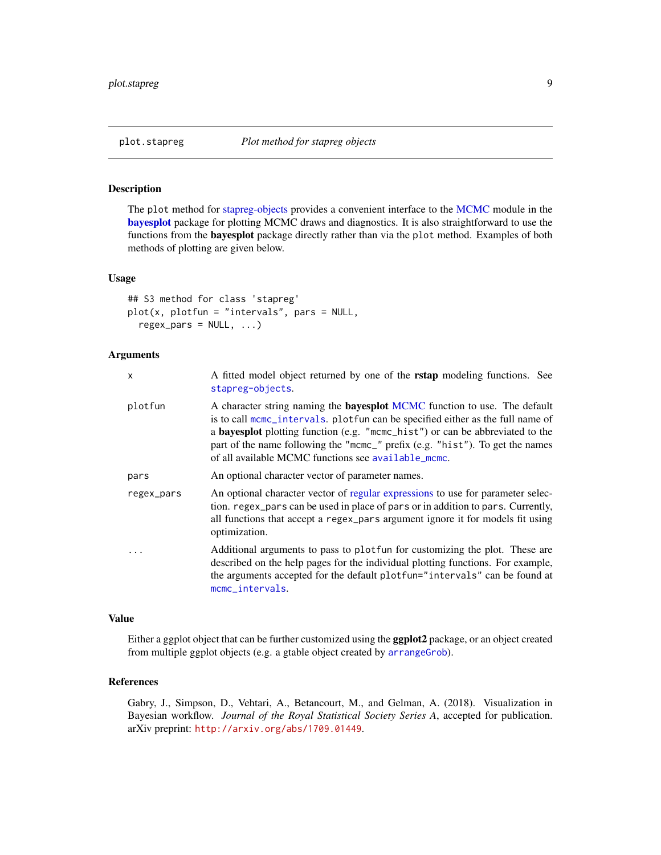<span id="page-8-1"></span><span id="page-8-0"></span>

## Description

The plot method for [stapreg-objects](#page-25-1) provides a convenient interface to the [MCMC](#page-0-0) module in the [bayesplot](#page-0-0) package for plotting MCMC draws and diagnostics. It is also straightforward to use the functions from the bayesplot package directly rather than via the plot method. Examples of both methods of plotting are given below.

#### Usage

```
## S3 method for class 'stapreg'
plot(x, plotfun = "intervals", pars = NULL,
  regex\_pars = NULL, ...
```
## Arguments

| X          | A fitted model object returned by one of the <b>rstap</b> modeling functions. See<br>stapreg-objects.                                                                                                                                                                                                                                                                                              |
|------------|----------------------------------------------------------------------------------------------------------------------------------------------------------------------------------------------------------------------------------------------------------------------------------------------------------------------------------------------------------------------------------------------------|
| plotfun    | A character string naming the <b>bayesplot</b> MCMC function to use. The default<br>is to call mcmc_intervals. plotfun can be specified either as the full name of<br>a <b>bayesplot</b> plotting function (e.g. "mome_hist") or can be abbreviated to the<br>part of the name following the "mcmc_" prefix (e.g. "hist"). To get the names<br>of all available MCMC functions see available_mcmc. |
| pars       | An optional character vector of parameter names.                                                                                                                                                                                                                                                                                                                                                   |
| regex_pars | An optional character vector of regular expressions to use for parameter selec-<br>tion. regex_pars can be used in place of pars or in addition to pars. Currently,<br>all functions that accept a regex_pars argument ignore it for models fit using<br>optimization.                                                                                                                             |
|            | Additional arguments to pass to plot fun for customizing the plot. These are<br>described on the help pages for the individual plotting functions. For example,<br>the arguments accepted for the default plotfun="intervals" can be found at<br>mcmc_intervals.                                                                                                                                   |

## Value

Either a ggplot object that can be further customized using the ggplot2 package, or an object created from multiple ggplot objects (e.g. a gtable object created by [arrangeGrob](#page-0-0)).

## References

Gabry, J., Simpson, D., Vehtari, A., Betancourt, M., and Gelman, A. (2018). Visualization in Bayesian workflow. *Journal of the Royal Statistical Society Series A*, accepted for publication. arXiv preprint: <http://arxiv.org/abs/1709.01449>.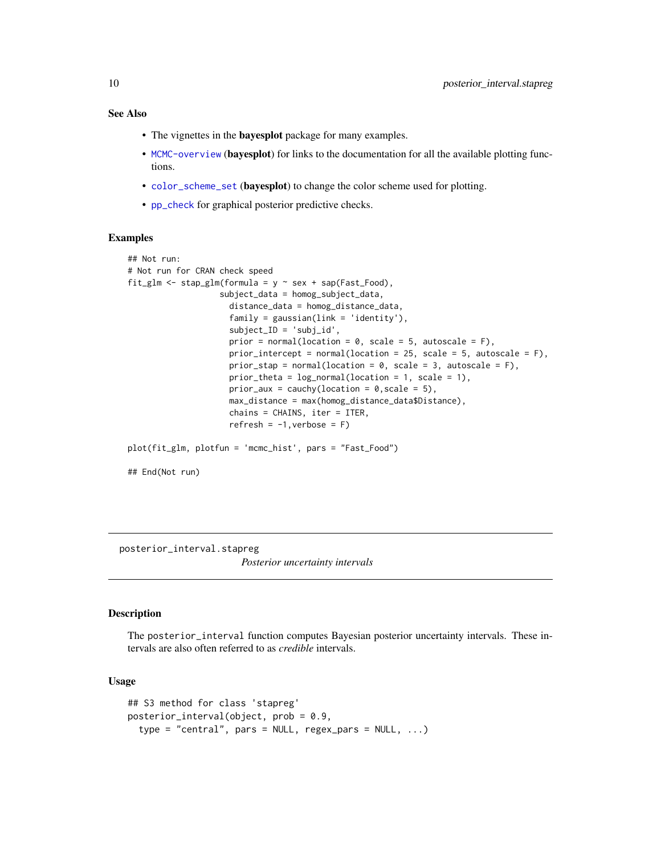## <span id="page-9-0"></span>See Also

- The vignettes in the bayesplot package for many examples.
- [MCMC-overview](#page-0-0) (bayesplot) for links to the documentation for all the available plotting functions.
- [color\\_scheme\\_set](#page-0-0) (bayesplot) to change the color scheme used for plotting.
- [pp\\_check](#page-0-0) for graphical posterior predictive checks.

## Examples

```
## Not run:
# Not run for CRAN check speed
fit_glm <- stap_glm(formula = y \sim sex + sap(Fast_Food),
                   subject_data = homog_subject_data,
                     distance_data = homog_distance_data,
                     family = gaussian(link = 'identity'),
                     subject_ID = 'subj_id',
                     prior = normal(location = 0, scale = 5, autoscale = F),
                     prior_intercept = normal(location = 25, scale = 5, autoscale = F),
                     prior_stap = normal(location = 0, scale = 3, autoscale = F),
                     prior_theta = log_normal(location = 1, scale = 1),
                     prior_aux = cauchy(location = 0, scale = 5),
                     max_distance = max(homog_distance_data$Distance),
                     chains = CHAINS, iter = ITER,
                     refresh = -1, verbose = F)
plot(fit_glm, plotfun = 'mcmc_hist', pars = "Fast_Food")
## End(Not run)
```
posterior\_interval.stapreg

*Posterior uncertainty intervals*

#### <span id="page-9-1"></span>Description

The posterior\_interval function computes Bayesian posterior uncertainty intervals. These intervals are also often referred to as *credible* intervals.

## Usage

```
## S3 method for class 'stapreg'
posterior_interval(object, prob = 0.9,
  type = "central", pars = NULL, regex_pars = NULL, ...)
```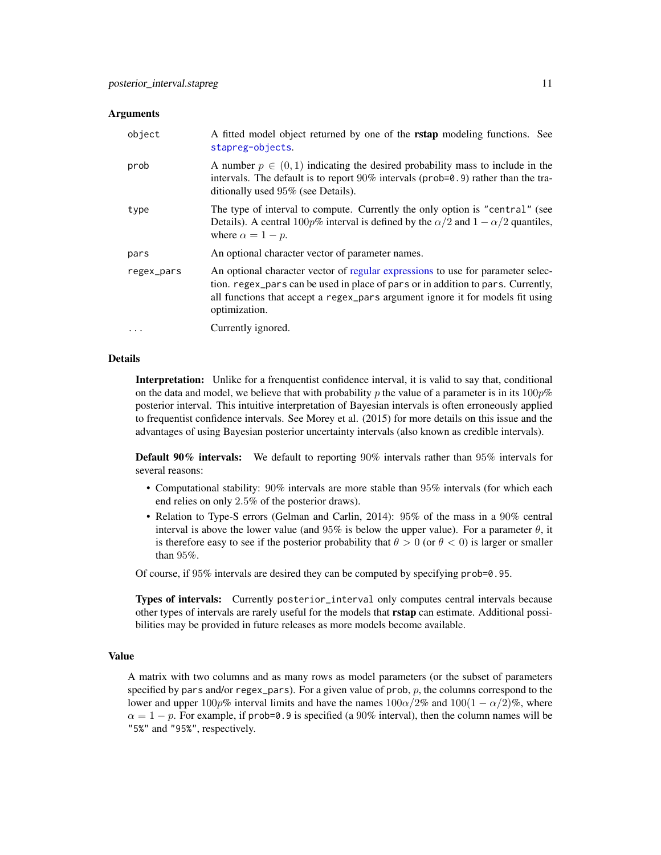#### <span id="page-10-0"></span>**Arguments**

| object     | A fitted model object returned by one of the <b>rstap</b> modeling functions. See<br>stapreg-objects.                                                                                                                                                                  |
|------------|------------------------------------------------------------------------------------------------------------------------------------------------------------------------------------------------------------------------------------------------------------------------|
| prob       | A number $p \in (0, 1)$ indicating the desired probability mass to include in the<br>intervals. The default is to report $90\%$ intervals (prob=0.9) rather than the tra-<br>ditionally used 95% (see Details).                                                        |
| type       | The type of interval to compute. Currently the only option is "central" (see<br>Details). A central 100p% interval is defined by the $\alpha/2$ and $1 - \alpha/2$ quantiles,<br>where $\alpha = 1 - p$ .                                                              |
| pars       | An optional character vector of parameter names.                                                                                                                                                                                                                       |
| regex_pars | An optional character vector of regular expressions to use for parameter selec-<br>tion. regex_pars can be used in place of pars or in addition to pars. Currently,<br>all functions that accept a regex_pars argument ignore it for models fit using<br>optimization. |
| $\cdots$   | Currently ignored.                                                                                                                                                                                                                                                     |

## Details

Interpretation: Unlike for a frenquentist confidence interval, it is valid to say that, conditional on the data and model, we believe that with probability p the value of a parameter is in its  $100p\%$ posterior interval. This intuitive interpretation of Bayesian intervals is often erroneously applied to frequentist confidence intervals. See Morey et al. (2015) for more details on this issue and the advantages of using Bayesian posterior uncertainty intervals (also known as credible intervals).

Default 90% intervals: We default to reporting 90% intervals rather than 95% intervals for several reasons:

- Computational stability: 90% intervals are more stable than 95% intervals (for which each end relies on only 2.5% of the posterior draws).
- Relation to Type-S errors (Gelman and Carlin, 2014): 95% of the mass in a 90% central interval is above the lower value (and 95% is below the upper value). For a parameter  $\theta$ , it is therefore easy to see if the posterior probability that  $\theta > 0$  (or  $\theta < 0$ ) is larger or smaller than 95%.

Of course, if 95% intervals are desired they can be computed by specifying prob=0.95.

Types of intervals: Currently posterior\_interval only computes central intervals because other types of intervals are rarely useful for the models that rstap can estimate. Additional possibilities may be provided in future releases as more models become available.

#### Value

A matrix with two columns and as many rows as model parameters (or the subset of parameters specified by pars and/or regex\_pars). For a given value of prob,  $p$ , the columns correspond to the lower and upper 100p% interval limits and have the names  $100\alpha/2\%$  and  $100(1-\alpha/2)\%$ , where  $\alpha = 1 - p$ . For example, if prob=0.9 is specified (a 90% interval), then the column names will be "5%" and "95%", respectively.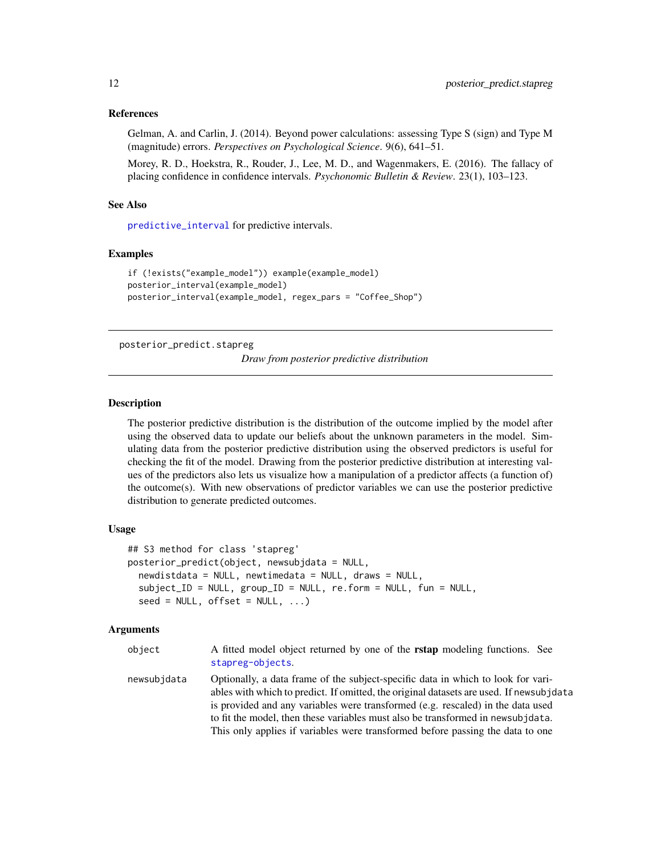## <span id="page-11-0"></span>References

Gelman, A. and Carlin, J. (2014). Beyond power calculations: assessing Type S (sign) and Type M (magnitude) errors. *Perspectives on Psychological Science*. 9(6), 641–51.

Morey, R. D., Hoekstra, R., Rouder, J., Lee, M. D., and Wagenmakers, E. (2016). The fallacy of placing confidence in confidence intervals. *Psychonomic Bulletin & Review*. 23(1), 103–123.

#### See Also

[predictive\\_interval](#page-15-1) for predictive intervals.

## Examples

```
if (!exists("example_model")) example(example_model)
posterior_interval(example_model)
posterior_interval(example_model, regex_pars = "Coffee_Shop")
```
<span id="page-11-2"></span>posterior\_predict.stapreg

*Draw from posterior predictive distribution*

## <span id="page-11-1"></span>Description

The posterior predictive distribution is the distribution of the outcome implied by the model after using the observed data to update our beliefs about the unknown parameters in the model. Simulating data from the posterior predictive distribution using the observed predictors is useful for checking the fit of the model. Drawing from the posterior predictive distribution at interesting values of the predictors also lets us visualize how a manipulation of a predictor affects (a function of) the outcome(s). With new observations of predictor variables we can use the posterior predictive distribution to generate predicted outcomes.

## Usage

```
## S3 method for class 'stapreg'
posterior_predict(object, newsubjdata = NULL,
  newdistdata = NULL, newtimedata = NULL, draws = NULL,
  subject_ID = NULL, group_ID = NULL, re.form = NULL, fun = NULL,
  seed = NULL, offset = NULL, ...)
```
## Arguments

| object      | A fitted model object returned by one of the <b>rstap</b> modeling functions. See<br>stapreg-objects.                                                                                                                                                                                                                                                                                                                                |
|-------------|--------------------------------------------------------------------------------------------------------------------------------------------------------------------------------------------------------------------------------------------------------------------------------------------------------------------------------------------------------------------------------------------------------------------------------------|
| newsubjdata | Optionally, a data frame of the subject-specific data in which to look for vari-<br>ables with which to predict. If omitted, the original datasets are used. If newsubjdata<br>is provided and any variables were transformed (e.g. rescaled) in the data used<br>to fit the model, then these variables must also be transformed in newsub jdata.<br>This only applies if variables were transformed before passing the data to one |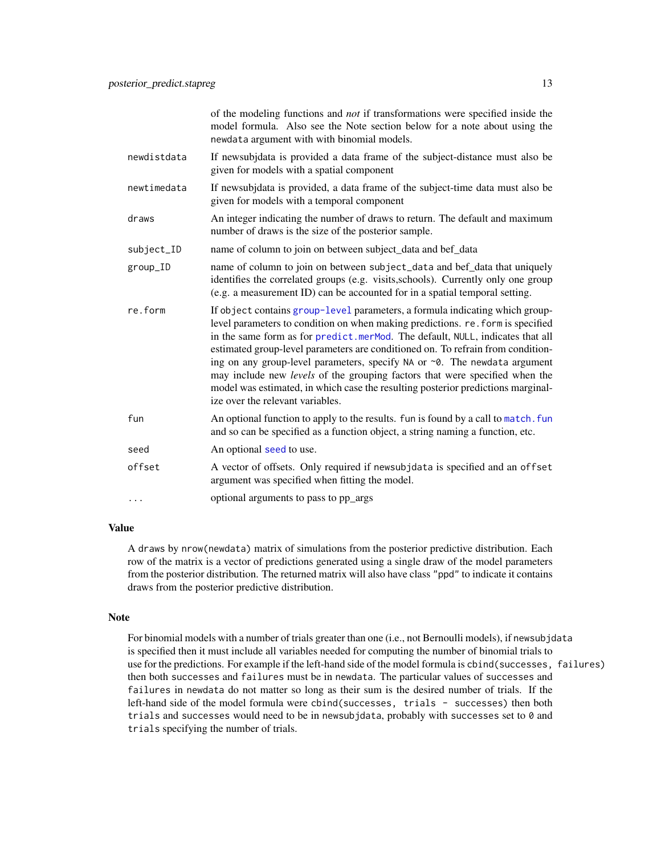of the modeling functions and *not* if transformations were specified inside the model formula. Also see the Note section below for a note about using the newdata argument with with binomial models.

- <span id="page-12-0"></span>newdistdata If newsubjdata is provided a data frame of the subject-distance must also be given for models with a spatial component
- newtimedata If newsubjdata is provided, a data frame of the subject-time data must also be given for models with a temporal component
- draws An integer indicating the number of draws to return. The default and maximum number of draws is the size of the posterior sample.
- subject\_ID name of column to join on between subject\_data and bef\_data
- group\_ID name of column to join on between subject\_data and bef\_data that uniquely identifies the correlated groups (e.g. visits,schools). Currently only one group (e.g. a measurement ID) can be accounted for in a spatial temporal setting.
- re.form If object contains [group-level](#page-31-1) parameters, a formula indicating which grouplevel parameters to condition on when making predictions. re.form is specified in the same form as for [predict.merMod](#page-0-0). The default, NULL, indicates that all estimated group-level parameters are conditioned on. To refrain from conditioning on any group-level parameters, specify NA or ~0. The newdata argument may include new *levels* of the grouping factors that were specified when the model was estimated, in which case the resulting posterior predictions marginalize over the relevant variables.
- fun An optional function to apply to the results. fun is found by a call to [match.fun](#page-0-0) and so can be specified as a function object, a string naming a function, etc.
- [seed](#page-0-0) An optional seed to use.
- offset A vector of offsets. Only required if newsubjdata is specified and an offset argument was specified when fitting the model.
- ... optional arguments to pass to pp\_args

## Value

A draws by nrow(newdata) matrix of simulations from the posterior predictive distribution. Each row of the matrix is a vector of predictions generated using a single draw of the model parameters from the posterior distribution. The returned matrix will also have class "ppd" to indicate it contains draws from the posterior predictive distribution.

#### Note

For binomial models with a number of trials greater than one (i.e., not Bernoulli models), if newsubjdata is specified then it must include all variables needed for computing the number of binomial trials to use for the predictions. For example if the left-hand side of the model formula is cbind(successes, failures) then both successes and failures must be in newdata. The particular values of successes and failures in newdata do not matter so long as their sum is the desired number of trials. If the left-hand side of the model formula were cbind(successes, trials - successes) then both trials and successes would need to be in newsubjdata, probably with successes set to 0 and trials specifying the number of trials.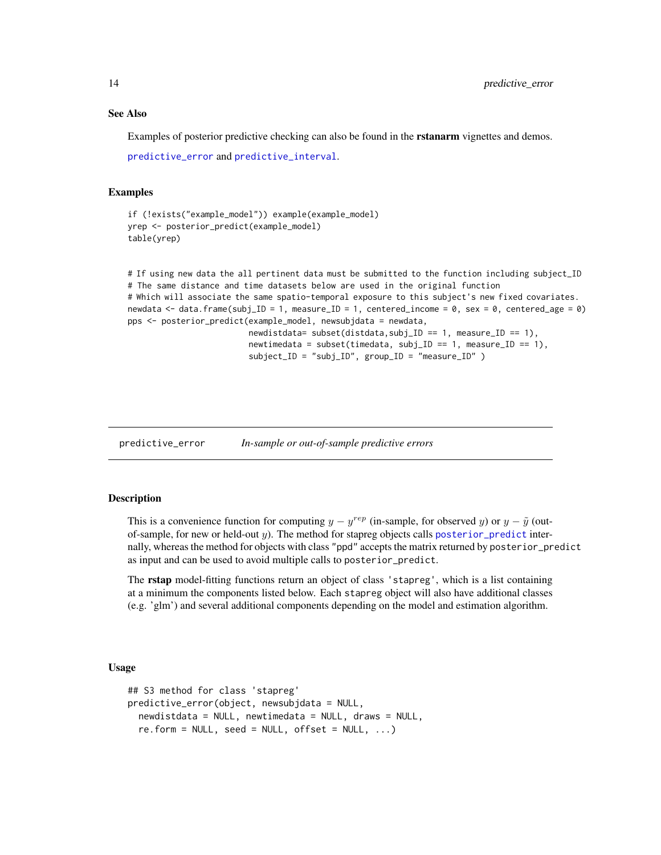#### See Also

Examples of posterior predictive checking can also be found in the rstanarm vignettes and demos.

```
predictive_error and predictive_interval.
```
#### Examples

```
if (!exists("example_model")) example(example_model)
yrep <- posterior_predict(example_model)
table(yrep)
```

```
# If using new data the all pertinent data must be submitted to the function including subject_ID
# The same distance and time datasets below are used in the original function
# Which will associate the same spatio-temporal exposure to this subject's new fixed covariates.
newdata <- data.frame(subj_ID = 1, measure_ID = 1, centered_income = 0, sex = 0, centered_age = 0)
pps <- posterior_predict(example_model, newsubjdata = newdata,
                         newdistdata= subset(distdata,subj_ID == 1, measure_ID == 1),
                         newtimedata = subset(timedata, subj_ID == 1, measure_ID == 1),
```
subject\_ID = "subj\_ID", group\_ID = "measure\_ID" )

<span id="page-13-1"></span>predictive\_error *In-sample or out-of-sample predictive errors*

## Description

This is a convenience function for computing  $y - y^{rep}$  (in-sample, for observed y) or  $y - \tilde{y}$  (outof-sample, for new or held-out  $y$ ). The method for stapreg objects calls [posterior\\_predict](#page-11-1) internally, whereas the method for objects with class "ppd" accepts the matrix returned by posterior\_predict as input and can be used to avoid multiple calls to posterior\_predict.

The **rstap** model-fitting functions return an object of class 'stapreg', which is a list containing at a minimum the components listed below. Each stapreg object will also have additional classes (e.g. 'glm') and several additional components depending on the model and estimation algorithm.

#### Usage

```
## S3 method for class 'stapreg'
predictive_error(object, newsubjdata = NULL,
 newdistdata = NULL, newtimedata = NULL, draws = NULL,
  re.form = NULL, seed = NULL, offset = NULL, ...)
```
<span id="page-13-0"></span>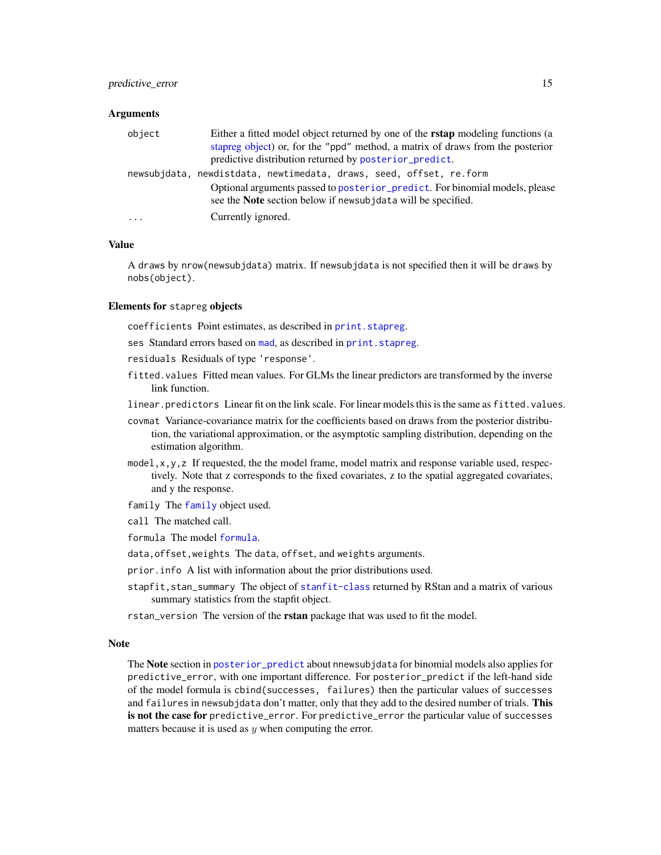#### <span id="page-14-0"></span>**Arguments**

| Either a fitted model object returned by one of the <b>rstap</b> modeling functions (a<br>object |  |
|--------------------------------------------------------------------------------------------------|--|
| stapped object) or, for the "ppd" method, a matrix of draws from the posterior                   |  |
| predictive distribution returned by posterior_predict.                                           |  |
| newsubjdata, newdistdata, newtimedata, draws, seed, offset, re.form                              |  |
| Optional arguments passed to posterior_predict. For binomial models, please                      |  |
| see the <b>Note</b> section below if newsub idata will be specified.                             |  |
| Currently ignored.<br>$\ddots$ .                                                                 |  |

## Value

A draws by nrow(newsubjdata) matrix. If newsubjdata is not specified then it will be draws by nobs(object).

## Elements for stapreg objects

coefficients Point estimates, as described in print. stapreg.

ses Standard errors based on [mad](#page-0-0), as described in [print.stapreg](#page-16-1).

- residuals Residuals of type 'response'.
- fitted.values Fitted mean values. For GLMs the linear predictors are transformed by the inverse link function.
- linear.predictors Linear fit on the link scale. For linear models this is the same as fitted.values.
- covmat Variance-covariance matrix for the coefficients based on draws from the posterior distribution, the variational approximation, or the asymptotic sampling distribution, depending on the estimation algorithm.
- model, x, y, z If requested, the the model frame, model matrix and response variable used, respectively. Note that z corresponds to the fixed covariates, z to the spatial aggregated covariates, and y the response.
- family The [family](#page-0-0) object used.
- call The matched call.
- formula The model [formula](#page-0-0).
- data,offset,weights The data, offset, and weights arguments.
- prior.info A list with information about the prior distributions used.
- stapfit,stan\_summary The object of [stanfit-class](#page-0-0) returned by RStan and a matrix of various summary statistics from the stapfit object.
- rstan\_version The version of the rstan package that was used to fit the model.

#### Note

The Note section in [posterior\\_predict](#page-11-1) about nnewsubjdata for binomial models also applies for predictive\_error, with one important difference. For posterior\_predict if the left-hand side of the model formula is cbind(successes, failures) then the particular values of successes and failures in newsubjdata don't matter, only that they add to the desired number of trials. This is not the case for predictive\_error. For predictive\_error the particular value of successes matters because it is used as  $y$  when computing the error.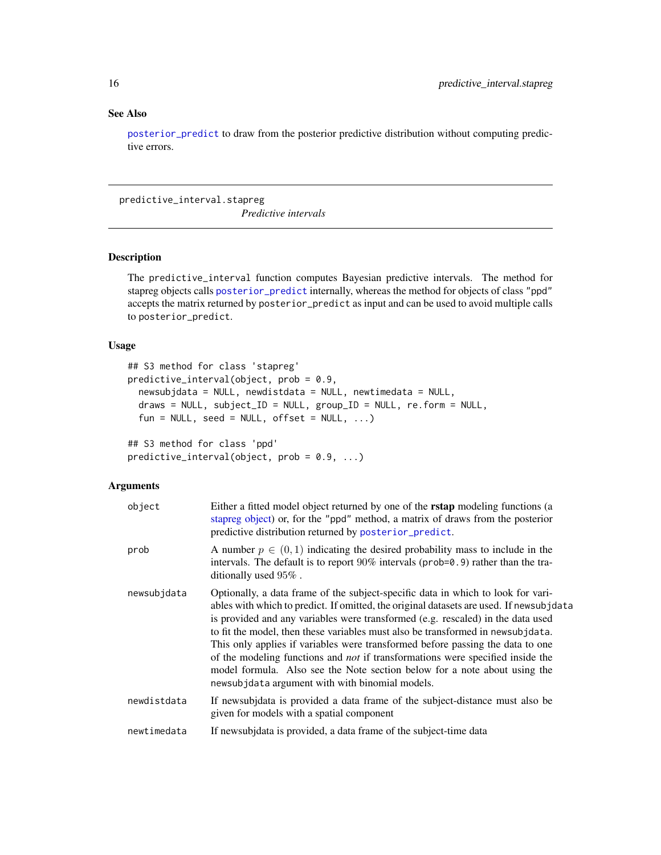## <span id="page-15-0"></span>See Also

[posterior\\_predict](#page-11-2) to draw from the posterior predictive distribution without computing predictive errors.

predictive\_interval.stapreg

*Predictive intervals*

## <span id="page-15-1"></span>Description

The predictive\_interval function computes Bayesian predictive intervals. The method for stapreg objects calls [posterior\\_predict](#page-11-1) internally, whereas the method for objects of class "ppd" accepts the matrix returned by posterior\_predict as input and can be used to avoid multiple calls to posterior\_predict.

## Usage

```
## S3 method for class 'stapreg'
predictive_interval(object, prob = 0.9,
  newsubjdata = NULL, newdistdata = NULL, newtimedata = NULL,
  draws = NULL, subject_ID = NULL, group_ID = NULL, re.form = NULL,
  fun = NULL, seed = NULL, offset = NULL, ...)
```
## S3 method for class 'ppd' predictive\_interval(object, prob = 0.9, ...)

## Arguments

| object      | Either a fitted model object returned by one of the <b>rstap</b> modeling functions (a<br>stapreg object) or, for the "ppd" method, a matrix of draws from the posterior<br>predictive distribution returned by posterior_predict.                                                                                                                                                                                                                                                                                                                                                                                                                           |
|-------------|--------------------------------------------------------------------------------------------------------------------------------------------------------------------------------------------------------------------------------------------------------------------------------------------------------------------------------------------------------------------------------------------------------------------------------------------------------------------------------------------------------------------------------------------------------------------------------------------------------------------------------------------------------------|
| prob        | A number $p \in (0,1)$ indicating the desired probability mass to include in the<br>intervals. The default is to report $90\%$ intervals (prob=0.9) rather than the tra-<br>ditionally used 95%.                                                                                                                                                                                                                                                                                                                                                                                                                                                             |
| newsubjdata | Optionally, a data frame of the subject-specific data in which to look for vari-<br>ables with which to predict. If omitted, the original datasets are used. If newsubjdata<br>is provided and any variables were transformed (e.g. rescaled) in the data used<br>to fit the model, then these variables must also be transformed in newsubjdata.<br>This only applies if variables were transformed before passing the data to one<br>of the modeling functions and <i>not</i> if transformations were specified inside the<br>model formula. Also see the Note section below for a note about using the<br>newsubjdata argument with with binomial models. |
| newdistdata | If newsubjecta is provided a data frame of the subject-distance must also be<br>given for models with a spatial component                                                                                                                                                                                                                                                                                                                                                                                                                                                                                                                                    |
| newtimedata | If newsubjdata is provided, a data frame of the subject-time data                                                                                                                                                                                                                                                                                                                                                                                                                                                                                                                                                                                            |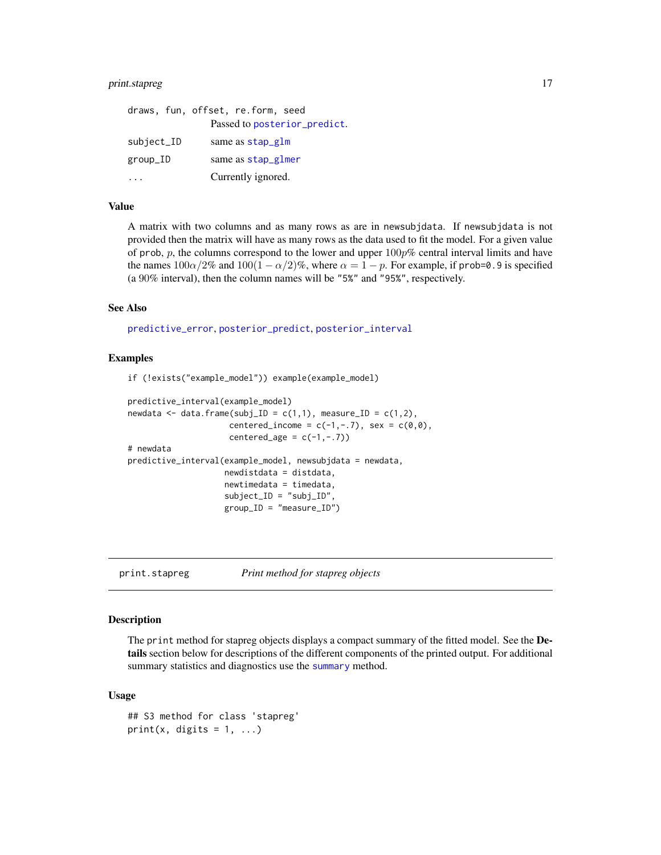## <span id="page-16-0"></span>print.stapreg 17

|            | draws, fun, offset, re.form, seed |
|------------|-----------------------------------|
|            | Passed to posterior_predict.      |
| subject_ID | same as stap_glm                  |
| group_ID   | same as stap_glmer                |
|            | Currently ignored.                |

## Value

A matrix with two columns and as many rows as are in newsubjdata. If newsubjdata is not provided then the matrix will have as many rows as the data used to fit the model. For a given value of prob, p, the columns correspond to the lower and upper  $100p\%$  central interval limits and have the names  $100\alpha/2\%$  and  $100(1-\alpha/2)\%$ , where  $\alpha = 1 - p$ . For example, if prob=0.9 is specified (a 90% interval), then the column names will be "5%" and "95%", respectively.

## See Also

[predictive\\_error](#page-13-1), [posterior\\_predict](#page-11-1), [posterior\\_interval](#page-9-1)

#### Examples

```
if (!exists("example_model")) example(example_model)
```

```
predictive_interval(example_model)
newdata \leq data.frame(subj_ID = c(1,1), measure_ID = c(1,2),
                     centered_income = c(-1, -.7), sex = c(0, 0),
                     centered_age = c(-1, -.7))
# newdata
predictive_interval(example_model, newsubjdata = newdata,
                    newdistdata = distdata,
                    newtimedata = timedata,
                    subject_ID = "subj_ID",
                    group_ID = "measure_ID")
```
<span id="page-16-1"></span>print.stapreg *Print method for stapreg objects*

#### **Description**

The print method for stapreg objects displays a compact summary of the fitted model. See the Details section below for descriptions of the different components of the printed output. For additional [summary](#page-36-1) statistics and diagnostics use the summary method.

## Usage

```
## S3 method for class 'stapreg'
print(x, digits = 1, ...)
```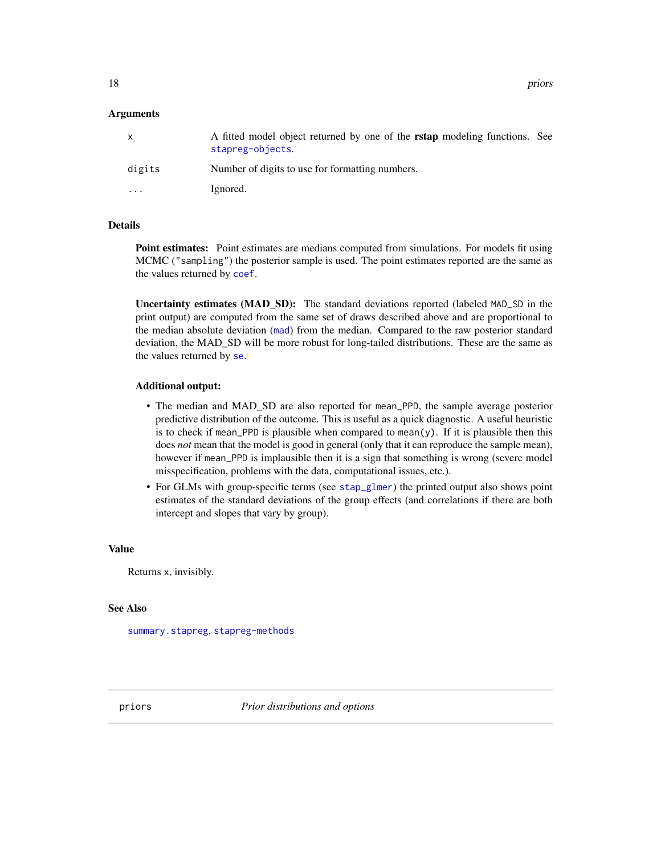## <span id="page-17-0"></span>Arguments

| $\mathsf{x}$ | A fitted model object returned by one of the <b>rstap</b> modeling functions. See<br>stapreg-objects. |
|--------------|-------------------------------------------------------------------------------------------------------|
| digits       | Number of digits to use for formatting numbers.                                                       |
| .            | Ignored.                                                                                              |

## Details

Point estimates: Point estimates are medians computed from simulations. For models fit using MCMC ("sampling") the posterior sample is used. The point estimates reported are the same as the values returned by [coef](#page-23-2).

Uncertainty estimates (MAD SD): The standard deviations reported (labeled MAD\_SD in the print output) are computed from the same set of draws described above and are proportional to the median absolute deviation ([mad](#page-0-0)) from the median. Compared to the raw posterior standard deviation, the MAD\_SD will be more robust for long-tailed distributions. These are the same as the values returned by [se](#page-23-2).

#### Additional output:

- The median and MAD\_SD are also reported for mean\_PPD, the sample average posterior predictive distribution of the outcome. This is useful as a quick diagnostic. A useful heuristic is to check if mean\_PPD is plausible when compared to mean $(y)$ . If it is plausible then this does *not* mean that the model is good in general (only that it can reproduce the sample mean), however if mean\_PPD is implausible then it is a sign that something is wrong (severe model misspecification, problems with the data, computational issues, etc.).
- For GLMs with group-specific terms (see [stap\\_glmer](#page-31-1)) the printed output also shows point estimates of the standard deviations of the group effects (and correlations if there are both intercept and slopes that vary by group).

#### Value

Returns x, invisibly.

#### See Also

[summary.stapreg](#page-36-1), [stapreg-methods](#page-23-1)

<span id="page-17-2"></span>

<span id="page-17-1"></span>priors *Prior distributions and options*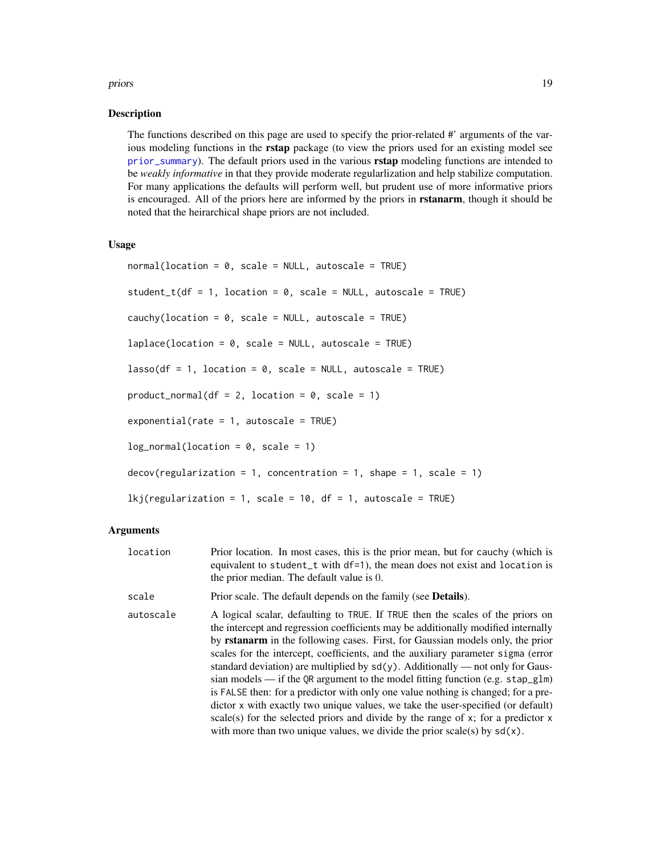#### <span id="page-18-0"></span>priors and the contract of the contract of the contract of the contract of the contract of the contract of the contract of the contract of the contract of the contract of the contract of the contract of the contract of the

#### Description

The functions described on this page are used to specify the prior-related #' arguments of the various modeling functions in the rstap package (to view the priors used for an existing model see [prior\\_summary](#page-21-1)). The default priors used in the various **rstap** modeling functions are intended to be *weakly informative* in that they provide moderate regularlization and help stabilize computation. For many applications the defaults will perform well, but prudent use of more informative priors is encouraged. All of the priors here are informed by the priors in **rstanarm**, though it should be noted that the heirarchical shape priors are not included.

## Usage

```
normal(location = 0, scale = NULL, autoscale = TRUE)
student_t(df = 1, location = 0, scale = NULL, autoscale = TRUE)
cauchy(location = 0, scale = NULL, autoscale = TRUE)
laplace(location = 0, scale = NULL, autoscale = TRUE)lasso(df = 1, location = 0, scale = NULL, autoscale = TRUE)product\_normal(df = 2, location = 0, scale = 1)exponential(\text{rate} = 1, \text{ autoscale} = \text{TRUE})log\_normal(location = 0, scale = 1)decov(regularization = 1, concentration = 1, shape = 1, scale = 1)lkj(regularization = 1, scale = 10, df = 1, autoscale = TRUE)
```
## Arguments

location Prior location. In most cases, this is the prior mean, but for cauchy (which is equivalent to student\_t with df=1), the mean does not exist and location is the prior median. The default value is 0. scale Prior scale. The default depends on the family (see Details). autoscale A logical scalar, defaulting to TRUE. If TRUE then the scales of the priors on the intercept and regression coefficients may be additionally modified internally by rstanarm in the following cases. First, for Gaussian models only, the prior scales for the intercept, coefficients, and the auxiliary parameter sigma (error standard deviation) are multiplied by  $sd(y)$ . Additionally — not only for Gaussian models — if the QR argument to the model fitting function (e.g. stap\_glm) is FALSE then: for a predictor with only one value nothing is changed; for a predictor x with exactly two unique values, we take the user-specified (or default)

> scale(s) for the selected priors and divide by the range of  $x$ ; for a predictor  $x$ with more than two unique values, we divide the prior scale(s) by  $sd(x)$ .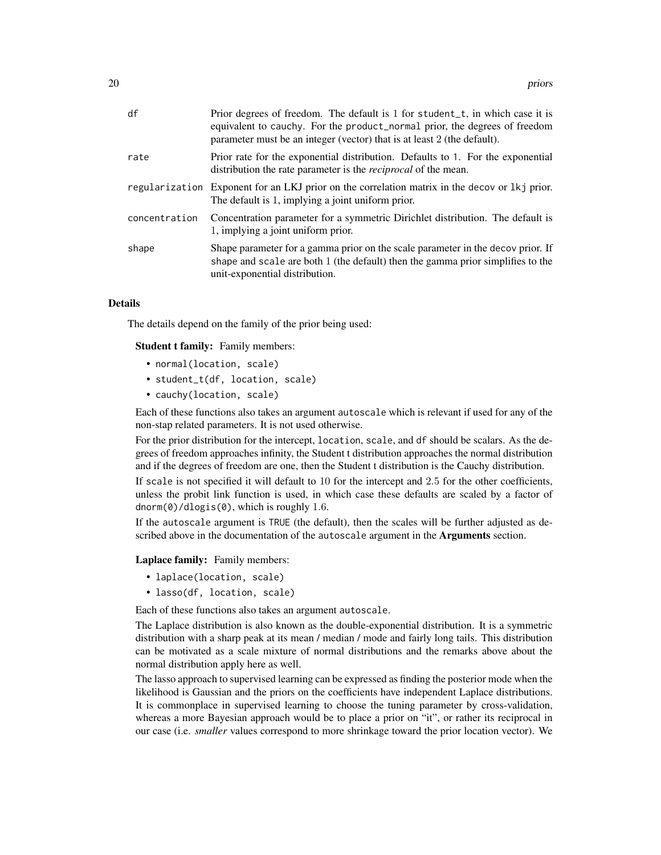| df            | Prior degrees of freedom. The default is 1 for student_t, in which case it is<br>equivalent to cauchy. For the product_normal prior, the degrees of freedom<br>parameter must be an integer (vector) that is at least 2 (the default). |
|---------------|----------------------------------------------------------------------------------------------------------------------------------------------------------------------------------------------------------------------------------------|
| rate          | Prior rate for the exponential distribution. Defaults to 1. For the exponential<br>distribution the rate parameter is the <i>reciprocal</i> of the mean.                                                                               |
|               | regularization Exponent for an LKJ prior on the correlation matrix in the decov or lkj prior.<br>The default is 1, implying a joint uniform prior.                                                                                     |
| concentration | Concentration parameter for a symmetric Dirichlet distribution. The default is<br>1, implying a joint uniform prior.                                                                                                                   |
| shape         | Shape parameter for a gamma prior on the scale parameter in the decov prior. If<br>shape and scale are both 1 (the default) then the gamma prior simplifies to the<br>unit-exponential distribution.                                   |

## Details

The details depend on the family of the prior being used:

Student t family: Family members:

- normal(location, scale)
- student\_t(df, location, scale)
- cauchy(location, scale)

Each of these functions also takes an argument autoscale which is relevant if used for any of the non-stap related parameters. It is not used otherwise.

For the prior distribution for the intercept, location, scale, and df should be scalars. As the degrees of freedom approaches infinity, the Student t distribution approaches the normal distribution and if the degrees of freedom are one, then the Student t distribution is the Cauchy distribution.

If scale is not specified it will default to 10 for the intercept and 2.5 for the other coefficients, unless the probit link function is used, in which case these defaults are scaled by a factor of dnorm(0)/dlogis(0), which is roughly 1.6.

If the autoscale argument is TRUE (the default), then the scales will be further adjusted as described above in the documentation of the autoscale argument in the Arguments section.

#### Laplace family: Family members:

- laplace(location, scale)
- lasso(df, location, scale)

Each of these functions also takes an argument autoscale.

The Laplace distribution is also known as the double-exponential distribution. It is a symmetric distribution with a sharp peak at its mean / median / mode and fairly long tails. This distribution can be motivated as a scale mixture of normal distributions and the remarks above about the normal distribution apply here as well.

The lasso approach to supervised learning can be expressed as finding the posterior mode when the likelihood is Gaussian and the priors on the coefficients have independent Laplace distributions. It is commonplace in supervised learning to choose the tuning parameter by cross-validation, whereas a more Bayesian approach would be to place a prior on "it", or rather its reciprocal in our case (i.e. *smaller* values correspond to more shrinkage toward the prior location vector). We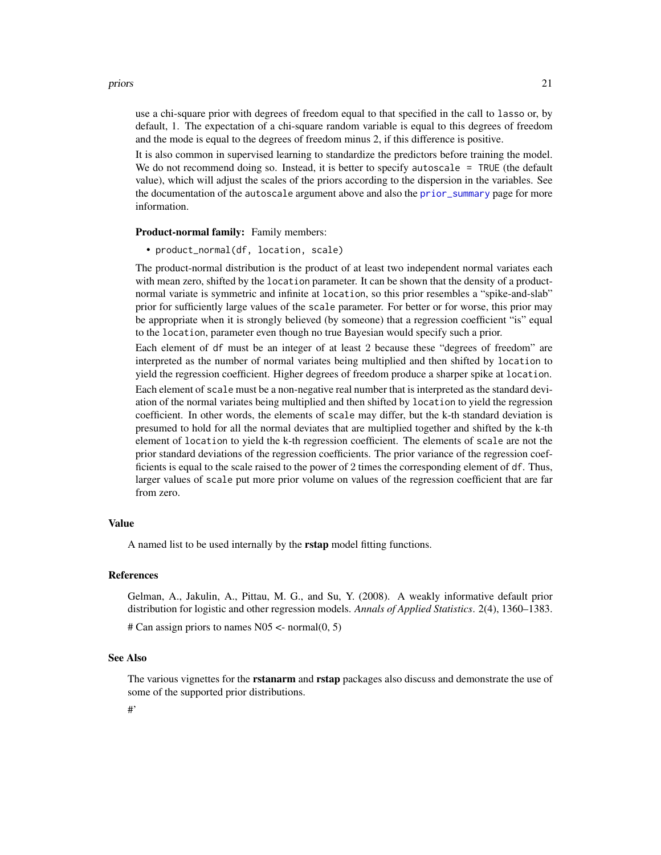#### <span id="page-20-0"></span>priors 21

use a chi-square prior with degrees of freedom equal to that specified in the call to lasso or, by default, 1. The expectation of a chi-square random variable is equal to this degrees of freedom and the mode is equal to the degrees of freedom minus 2, if this difference is positive.

It is also common in supervised learning to standardize the predictors before training the model. We do not recommend doing so. Instead, it is better to specify autoscale = TRUE (the default value), which will adjust the scales of the priors according to the dispersion in the variables. See the documentation of the autoscale argument above and also the [prior\\_summary](#page-21-1) page for more information.

Product-normal family: Family members:

• product\_normal(df, location, scale)

The product-normal distribution is the product of at least two independent normal variates each with mean zero, shifted by the location parameter. It can be shown that the density of a productnormal variate is symmetric and infinite at location, so this prior resembles a "spike-and-slab" prior for sufficiently large values of the scale parameter. For better or for worse, this prior may be appropriate when it is strongly believed (by someone) that a regression coefficient "is" equal to the location, parameter even though no true Bayesian would specify such a prior.

Each element of df must be an integer of at least 2 because these "degrees of freedom" are interpreted as the number of normal variates being multiplied and then shifted by location to yield the regression coefficient. Higher degrees of freedom produce a sharper spike at location. Each element of scale must be a non-negative real number that is interpreted as the standard deviation of the normal variates being multiplied and then shifted by location to yield the regression coefficient. In other words, the elements of scale may differ, but the k-th standard deviation is presumed to hold for all the normal deviates that are multiplied together and shifted by the k-th element of location to yield the k-th regression coefficient. The elements of scale are not the prior standard deviations of the regression coefficients. The prior variance of the regression coefficients is equal to the scale raised to the power of 2 times the corresponding element of df. Thus, larger values of scale put more prior volume on values of the regression coefficient that are far from zero.

#### Value

A named list to be used internally by the **rstap** model fitting functions.

## References

Gelman, A., Jakulin, A., Pittau, M. G., and Su, Y. (2008). A weakly informative default prior distribution for logistic and other regression models. *Annals of Applied Statistics*. 2(4), 1360–1383.

# Can assign priors to names  $N05 \le$ - normal $(0, 5)$ 

## See Also

The various vignettes for the **rstanarm** and **rstap** packages also discuss and demonstrate the use of some of the supported prior distributions.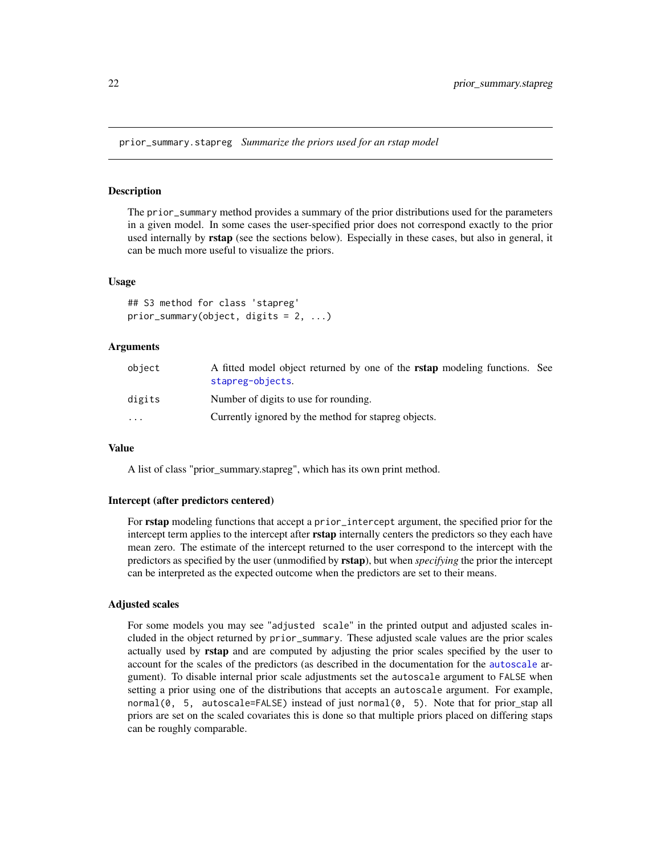<span id="page-21-0"></span>prior\_summary.stapreg *Summarize the priors used for an rstap model*

## <span id="page-21-1"></span>Description

The prior\_summary method provides a summary of the prior distributions used for the parameters in a given model. In some cases the user-specified prior does not correspond exactly to the prior used internally by rstap (see the sections below). Especially in these cases, but also in general, it can be much more useful to visualize the priors.

#### Usage

```
## S3 method for class 'stapreg'
prior_summary(object, digits = 2, ...)
```
#### Arguments

| obiect   | A fitted model object returned by one of the <b>rstap</b> modeling functions. See<br>stapreg-objects. |
|----------|-------------------------------------------------------------------------------------------------------|
| digits   | Number of digits to use for rounding.                                                                 |
| $\cdots$ | Currently ignored by the method for stapreg objects.                                                  |

#### Value

A list of class "prior\_summary.stapreg", which has its own print method.

#### Intercept (after predictors centered)

For **rstap** modeling functions that accept a prior\_intercept argument, the specified prior for the intercept term applies to the intercept after rstap internally centers the predictors so they each have mean zero. The estimate of the intercept returned to the user correspond to the intercept with the predictors as specified by the user (unmodified by rstap), but when *specifying* the prior the intercept can be interpreted as the expected outcome when the predictors are set to their means.

## Adjusted scales

For some models you may see "adjusted scale" in the printed output and adjusted scales included in the object returned by prior\_summary. These adjusted scale values are the prior scales actually used by rstap and are computed by adjusting the prior scales specified by the user to account for the scales of the predictors (as described in the documentation for the [autoscale](#page-17-1) argument). To disable internal prior scale adjustments set the autoscale argument to FALSE when setting a prior using one of the distributions that accepts an autoscale argument. For example, normal( $\theta$ , 5, autoscale=FALSE) instead of just normal( $\theta$ , 5). Note that for prior\_stap all priors are set on the scaled covariates this is done so that multiple priors placed on differing staps can be roughly comparable.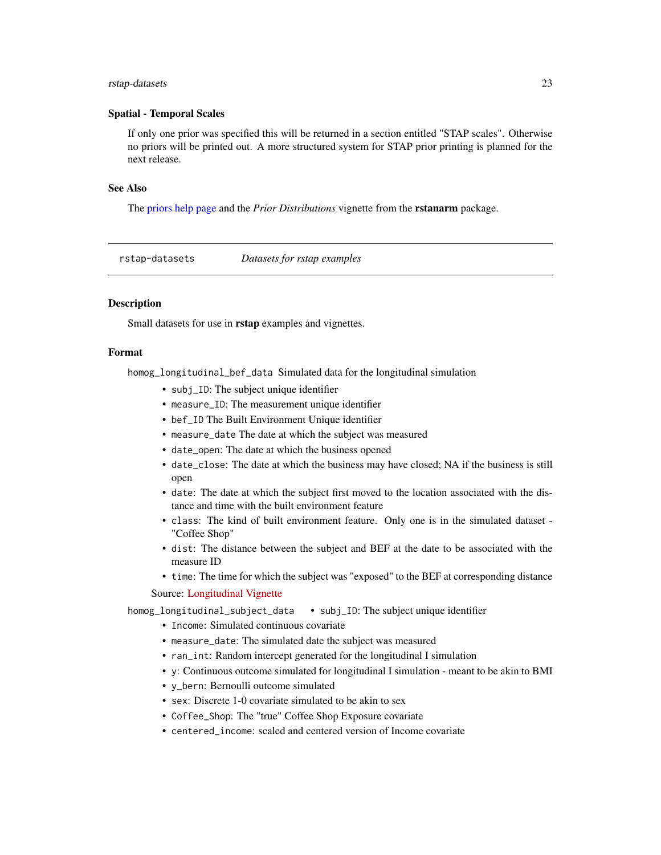#### <span id="page-22-0"></span>rstap-datasets 23

## Spatial - Temporal Scales

If only one prior was specified this will be returned in a section entitled "STAP scales". Otherwise no priors will be printed out. A more structured system for STAP prior printing is planned for the next release.

## See Also

The [priors help page](#page-17-1) and the *Prior Distributions* vignette from the rstanarm package.

rstap-datasets *Datasets for rstap examples*

## **Description**

Small datasets for use in **rstap** examples and vignettes.

## Format

homog\_longitudinal\_bef\_data Simulated data for the longitudinal simulation

- subj\_ID: The subject unique identifier
- measure\_ID: The measurement unique identifier
- bef\_ID The Built Environment Unique identifier
- measure\_date The date at which the subject was measured
- date\_open: The date at which the business opened
- date\_close: The date at which the business may have closed; NA if the business is still open
- date: The date at which the subject first moved to the location associated with the distance and time with the built environment feature
- class: The kind of built environment feature. Only one is in the simulated dataset "Coffee Shop"
- dist: The distance between the subject and BEF at the date to be associated with the measure ID
- time: The time for which the subject was "exposed" to the BEF at corresponding distance

Source: [Longitudinal Vignette](https://biostatistics4socialimpact.github.io/rstap/articles/longitudinal-I.html)

homog\_longitudinal\_subject\_data • subj\_ID: The subject unique identifier

- Income: Simulated continuous covariate
- measure\_date: The simulated date the subject was measured
- ran\_int: Random intercept generated for the longitudinal I simulation
- y: Continuous outcome simulated for longitudinal I simulation meant to be akin to BMI
- y\_bern: Bernoulli outcome simulated
- sex: Discrete 1-0 covariate simulated to be akin to sex
- Coffee\_Shop: The "true" Coffee Shop Exposure covariate
- centered\_income: scaled and centered version of Income covariate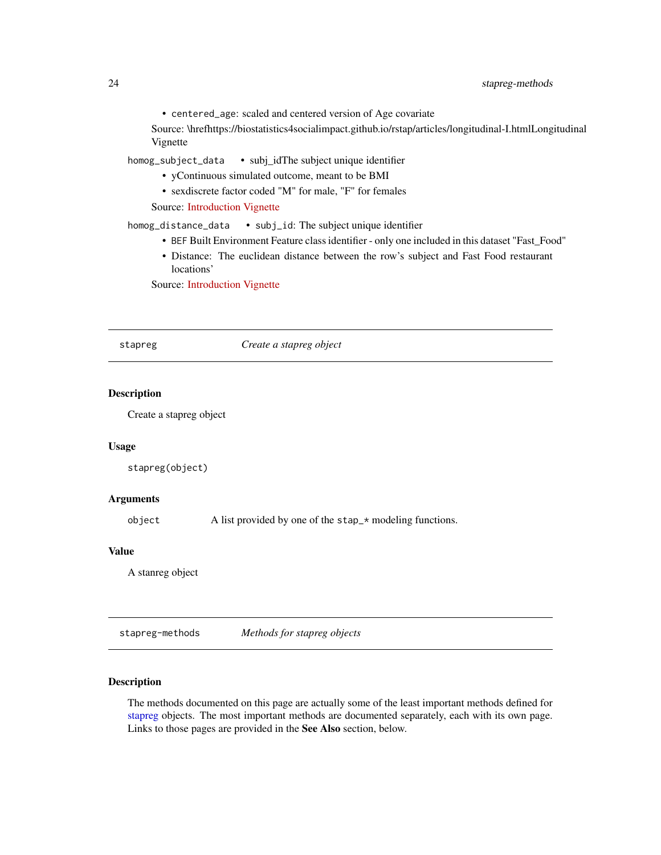<span id="page-23-0"></span>• centered\_age: scaled and centered version of Age covariate

Source: \hrefhttps://biostatistics4socialimpact.github.io/rstap/articles/longitudinal-I.htmlLongitudinal Vignette

homog\_subject\_data • subj\_idThe subject unique identifier

- yContinuous simulated outcome, meant to be BMI
- sexdiscrete factor coded "M" for male, "F" for females

Source: [Introduction Vignette](https://biostatistics4socialimpact.github.io/rstap/articles/Introduction.html)

homog\_distance\_data • subj\_id: The subject unique identifier

- BEF Built Environment Feature class identifier only one included in this dataset "Fast\_Food"
- Distance: The euclidean distance between the row's subject and Fast Food restaurant locations'

Source: [Introduction Vignette](https://biostatistics4socialimpact.github.io/rstap/articles/Introduction.html)

stapreg *Create a stapreg object*

## Description

Create a stapreg object

#### Usage

stapreg(object)

## Arguments

object A list provided by one of the stap\_\* modeling functions.

## Value

A stanreg object

<span id="page-23-1"></span>stapreg-methods *Methods for stapreg objects*

## <span id="page-23-2"></span>Description

The methods documented on this page are actually some of the least important methods defined for [stapreg](#page-25-1) objects. The most important methods are documented separately, each with its own page. Links to those pages are provided in the See Also section, below.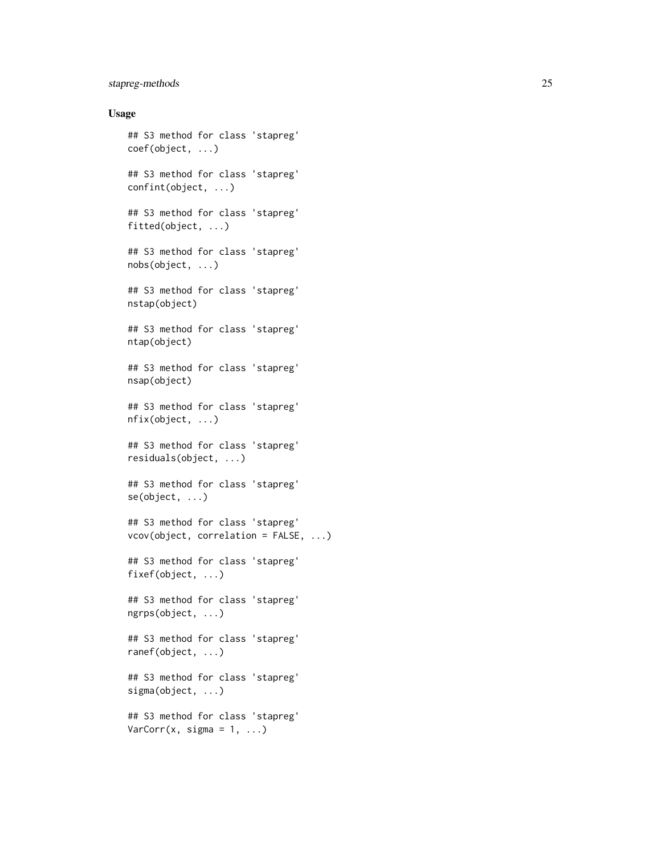## stapreg-methods 25

## Usage

```
## S3 method for class 'stapreg'
coef(object, ...)
## S3 method for class 'stapreg'
confint(object, ...)
## S3 method for class 'stapreg'
fitted(object, ...)
## S3 method for class 'stapreg'
nobs(object, ...)
## S3 method for class 'stapreg'
nstap(object)
## S3 method for class 'stapreg'
ntap(object)
## S3 method for class 'stapreg'
nsap(object)
## S3 method for class 'stapreg'
nfix(object, ...)
## S3 method for class 'stapreg'
residuals(object, ...)
## S3 method for class 'stapreg'
se(object, ...)
## S3 method for class 'stapreg'
vcov(object, correlation = FALSE, ...)
## S3 method for class 'stapreg'
fixef(object, ...)
## S3 method for class 'stapreg'
ngrps(object, ...)
## S3 method for class 'stapreg'
ranef(object, ...)
## S3 method for class 'stapreg'
sigma(object, ...)
## S3 method for class 'stapreg'
VarCorr(x, sigma = 1, ...)
```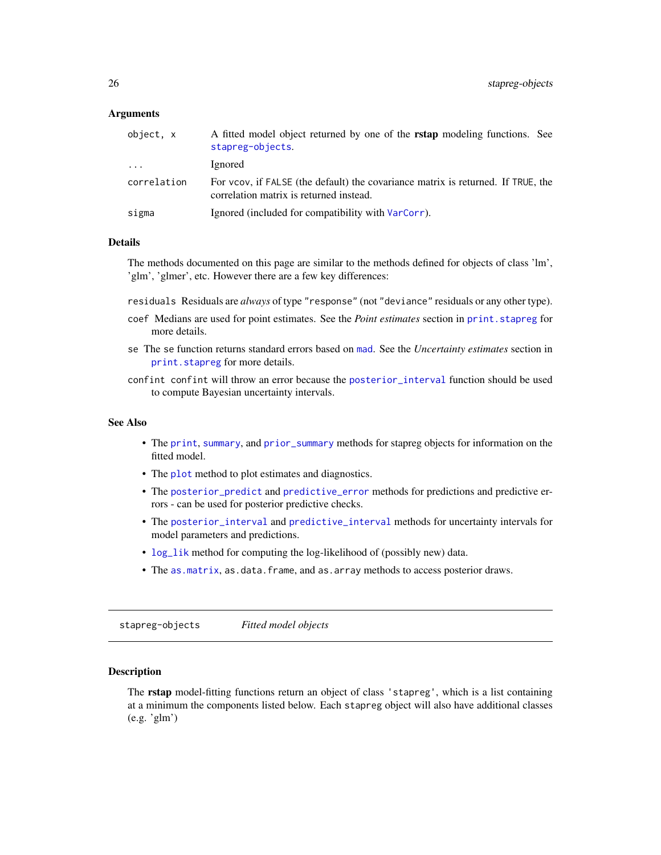## <span id="page-25-0"></span>**Arguments**

| object, x   | A fitted model object returned by one of the <b>rstap</b> modeling functions. See<br>stapreg-objects.                       |
|-------------|-----------------------------------------------------------------------------------------------------------------------------|
| $\cdot$     | Ignored                                                                                                                     |
| correlation | For vcov, if FALSE (the default) the covariance matrix is returned. If TRUE, the<br>correlation matrix is returned instead. |
| sigma       | Ignored (included for compatibility with VarCorr).                                                                          |

## Details

The methods documented on this page are similar to the methods defined for objects of class 'lm', 'glm', 'glmer', etc. However there are a few key differences:

residuals Residuals are *always* of type "response" (not "deviance" residuals or any other type).

- coef Medians are used for point estimates. See the *Point estimates* section in print. stapreg for more details.
- se The se function returns standard errors based on [mad](#page-0-0). See the *Uncertainty estimates* section in [print.stapreg](#page-16-1) for more details.
- confint confint will throw an error because the [posterior\\_interval](#page-9-1) function should be used to compute Bayesian uncertainty intervals.

## See Also

- The [print](#page-16-1), [summary](#page-36-1), and [prior\\_summary](#page-21-1) methods for stapreg objects for information on the fitted model.
- The [plot](#page-8-1) method to plot estimates and diagnostics.
- The [posterior\\_predict](#page-11-1) and [predictive\\_error](#page-13-1) methods for predictions and predictive errors - can be used for posterior predictive checks.
- The [posterior\\_interval](#page-9-1) and [predictive\\_interval](#page-15-1) methods for uncertainty intervals for model parameters and predictions.
- [log\\_lik](#page-6-1) method for computing the log-likelihood of (possibly new) data.
- The as. matrix, as.data.frame, and as.array methods to access posterior draws.

<span id="page-25-1"></span>stapreg-objects *Fitted model objects*

#### Description

The rstap model-fitting functions return an object of class 'stapreg', which is a list containing at a minimum the components listed below. Each stapreg object will also have additional classes (e.g. 'glm')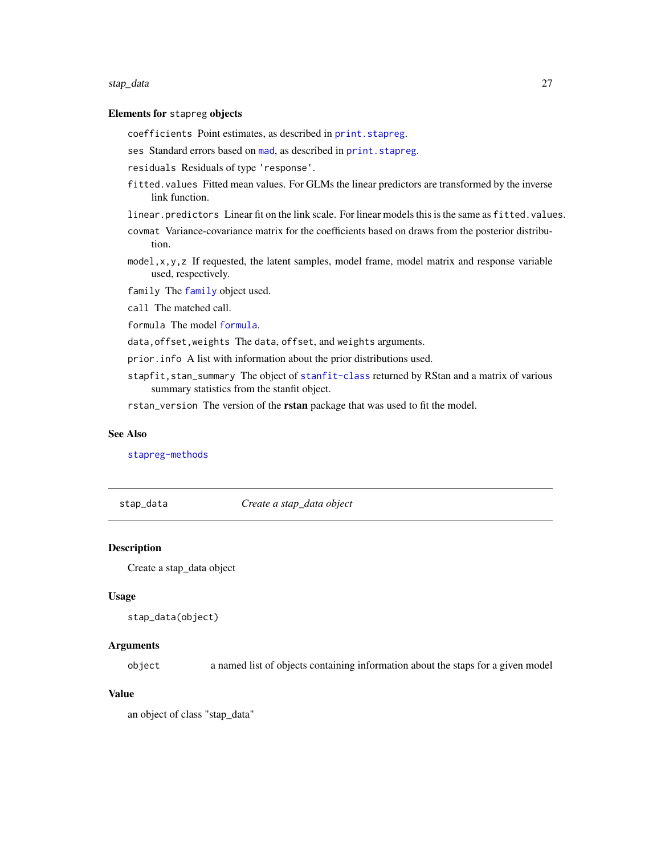#### <span id="page-26-0"></span>stap\_data 27

## Elements for stapreg objects

coefficients Point estimates, as described in [print.stapreg](#page-16-1).

ses Standard errors based on [mad](#page-0-0), as described in print. stapreg.

residuals Residuals of type 'response'.

- fitted.values Fitted mean values. For GLMs the linear predictors are transformed by the inverse link function.
- linear.predictors Linear fit on the link scale. For linear models this is the same as fitted.values.
- covmat Variance-covariance matrix for the coefficients based on draws from the posterior distribution.
- model, x, y, z If requested, the latent samples, model frame, model matrix and response variable used, respectively.

family The [family](#page-0-0) object used.

call The matched call.

formula The model [formula](#page-0-0).

data,offset,weights The data, offset, and weights arguments.

prior.info A list with information about the prior distributions used.

stapfit, stan\_summary The object of [stanfit-class](#page-0-0) returned by RStan and a matrix of various summary statistics from the stanfit object.

rstan\_version The version of the rstan package that was used to fit the model.

#### See Also

[stapreg-methods](#page-23-1)

stap\_data *Create a stap\_data object*

## **Description**

Create a stap\_data object

### Usage

```
stap_data(object)
```
## **Arguments**

object a named list of objects containing information about the staps for a given model

## Value

an object of class "stap\_data"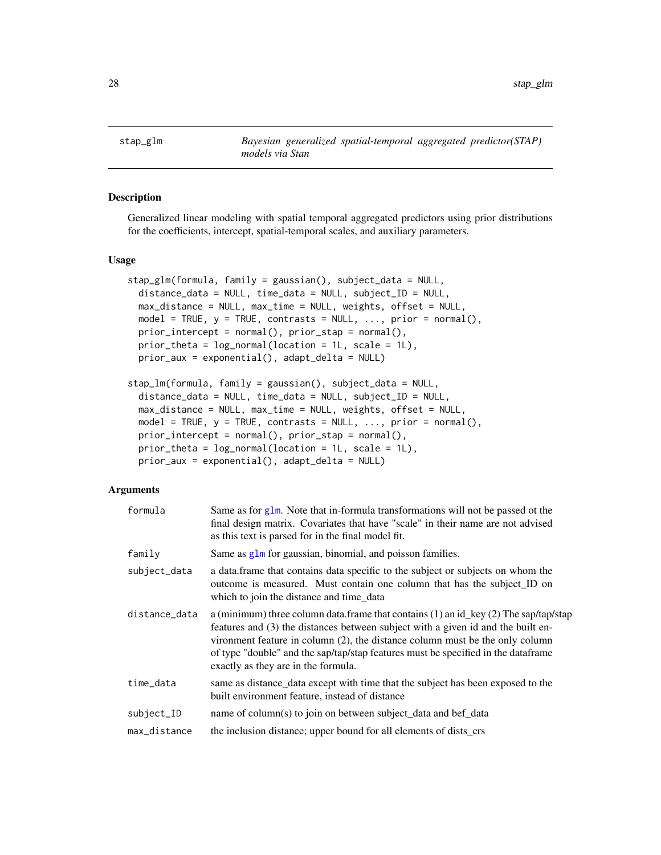<span id="page-27-1"></span><span id="page-27-0"></span>

## Description

Generalized linear modeling with spatial temporal aggregated predictors using prior distributions for the coefficients, intercept, spatial-temporal scales, and auxiliary parameters.

#### Usage

```
stap_glm(formula, family = gaussian(), subject_data = NULL,
 distance_data = NULL, time_data = NULL, subject_ID = NULL,
 max_distance = NULL, max_time = NULL, weights, offset = NULL,
 model = TRUE, y = TRUE, contrasts = NULL, ..., prior = normal(),
 prior_intercept = normal(), prior_stap = normal(),
 prior_theta = log_normal(location = 1L, scale = 1L),
 prior_aux = exponential(), adapt_delta = NULL)
```

```
stap_lm(formula, family = gaussian(), subject_data = NULL,
 distance_data = NULL, time_data = NULL, subject_ID = NULL,
 max_distance = NULL, max_time = NULL, weights, offset = NULL,
 model = TRUE, y = TRUE, contrasts = NULL, ..., prior = normal(),
 prior_intercept = normal(), prior_stap = normal(),
 prior_theta = log_normal(location = 1L, scale = 1L),
 prior_aux = exponential(), adapt_delta = NULL)
```
## Arguments

| formula       | Same as for $g1m$ . Note that in-formula transformations will not be passed ot the<br>final design matrix. Covariates that have "scale" in their name are not advised<br>as this text is parsed for in the final model fit.                                                                                                                                                           |
|---------------|---------------------------------------------------------------------------------------------------------------------------------------------------------------------------------------------------------------------------------------------------------------------------------------------------------------------------------------------------------------------------------------|
| family        | Same as glm for gaussian, binomial, and poisson families.                                                                                                                                                                                                                                                                                                                             |
| subject_data  | a data frame that contains data specific to the subject or subjects on whom the<br>outcome is measured. Must contain one column that has the subject_ID on<br>which to join the distance and time_data                                                                                                                                                                                |
| distance_data | a (minimum) three column data.frame that contains (1) an id_key (2) The sap/tap/stap<br>features and (3) the distances between subject with a given id and the built en-<br>vironment feature in column (2), the distance column must be the only column<br>of type "double" and the sap/tap/stap features must be specified in the data frame<br>exactly as they are in the formula. |
| time_data     | same as distance_data except with time that the subject has been exposed to the<br>built environment feature, instead of distance                                                                                                                                                                                                                                                     |
| subject_ID    | name of column(s) to join on between subject_data and bef_data                                                                                                                                                                                                                                                                                                                        |
| max_distance  | the inclusion distance; upper bound for all elements of dists_crs                                                                                                                                                                                                                                                                                                                     |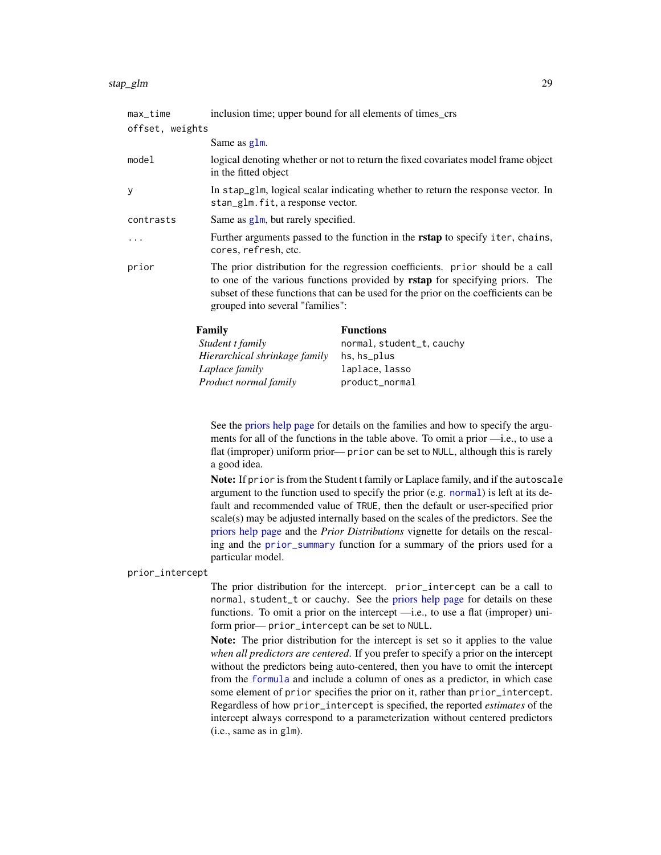<span id="page-28-0"></span>

| max_time        | inclusion time; upper bound for all elements of times_crs                                                                                                                                                                                                                                        |
|-----------------|--------------------------------------------------------------------------------------------------------------------------------------------------------------------------------------------------------------------------------------------------------------------------------------------------|
| offset, weights |                                                                                                                                                                                                                                                                                                  |
|                 | Same as glm.                                                                                                                                                                                                                                                                                     |
| model           | logical denoting whether or not to return the fixed covariates model frame object<br>in the fitted object                                                                                                                                                                                        |
| у               | In stap_g1m, logical scalar indicating whether to return the response vector. In<br>stan_glm.fit, a response vector.                                                                                                                                                                             |
| contrasts       | Same as $g1m$ , but rarely specified.                                                                                                                                                                                                                                                            |
| $\ddots$        | Further arguments passed to the function in the <b>rstap</b> to specify iter, chains,<br>cores, refresh, etc.                                                                                                                                                                                    |
| prior           | The prior distribution for the regression coefficients. prior should be a call<br>to one of the various functions provided by <b>rstap</b> for specifying priors. The<br>subset of these functions that can be used for the prior on the coefficients can be<br>grouped into several "families": |
|                 |                                                                                                                                                                                                                                                                                                  |

| Family                        | <b>Functions</b>          |
|-------------------------------|---------------------------|
| Student t family              | normal, student_t, cauchy |
| Hierarchical shrinkage family | hs, hs_plus               |
| Laplace family                | laplace, lasso            |
| Product normal family         | product_normal            |

See the [priors help page](#page-17-1) for details on the families and how to specify the arguments for all of the functions in the table above. To omit a prior —i.e., to use a flat (improper) uniform prior— prior can be set to NULL, although this is rarely a good idea.

Note: If prior is from the Student t family or Laplace family, and if the autoscale argument to the function used to specify the prior (e.g. [normal](#page-17-2)) is left at its default and recommended value of TRUE, then the default or user-specified prior scale(s) may be adjusted internally based on the scales of the predictors. See the [priors help page](#page-17-1) and the *Prior Distributions* vignette for details on the rescaling and the [prior\\_summary](#page-21-1) function for a summary of the priors used for a particular model.

#### prior\_intercept

The prior distribution for the intercept. prior\_intercept can be a call to normal, student\_t or cauchy. See the [priors help page](#page-17-1) for details on these functions. To omit a prior on the intercept —i.e., to use a flat (improper) uniform prior— prior\_intercept can be set to NULL.

Note: The prior distribution for the intercept is set so it applies to the value *when all predictors are centered*. If you prefer to specify a prior on the intercept without the predictors being auto-centered, then you have to omit the intercept from the [formula](#page-0-0) and include a column of ones as a predictor, in which case some element of prior specifies the prior on it, rather than prior\_intercept. Regardless of how prior\_intercept is specified, the reported *estimates* of the intercept always correspond to a parameterization without centered predictors (i.e., same as in glm).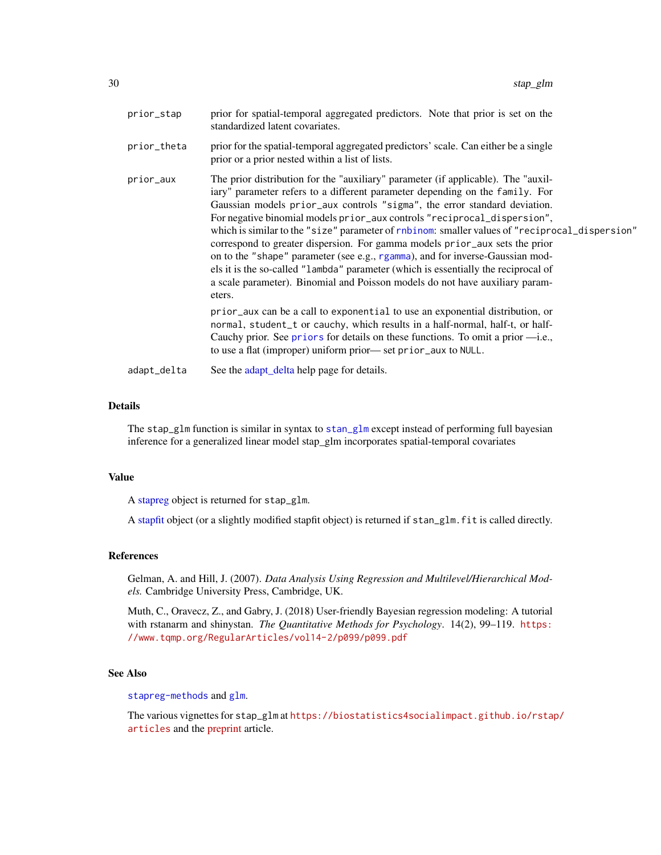<span id="page-29-0"></span>

| prior_stap  | prior for spatial-temporal aggregated predictors. Note that prior is set on the<br>standardized latent covariates.                                                                                                                                                                                                                                                                                                                                                                                                                                                                                                                                                                                                                                                                                                                                            |
|-------------|---------------------------------------------------------------------------------------------------------------------------------------------------------------------------------------------------------------------------------------------------------------------------------------------------------------------------------------------------------------------------------------------------------------------------------------------------------------------------------------------------------------------------------------------------------------------------------------------------------------------------------------------------------------------------------------------------------------------------------------------------------------------------------------------------------------------------------------------------------------|
| prior_theta | prior for the spatial-temporal aggregated predictors' scale. Can either be a single<br>prior or a prior nested within a list of lists.                                                                                                                                                                                                                                                                                                                                                                                                                                                                                                                                                                                                                                                                                                                        |
| prior_aux   | The prior distribution for the "auxiliary" parameter (if applicable). The "auxil-<br>iary" parameter refers to a different parameter depending on the family. For<br>Gaussian models prior_aux controls "sigma", the error standard deviation.<br>For negative binomial models prior_aux controls "reciprocal_dispersion",<br>which is similar to the "size" parameter of rnbinom: smaller values of "reciprocal_dispersion"<br>correspond to greater dispersion. For gamma models prior_aux sets the prior<br>on to the "shape" parameter (see e.g., rgamma), and for inverse-Gaussian mod-<br>els it is the so-called "lambda" parameter (which is essentially the reciprocal of<br>a scale parameter). Binomial and Poisson models do not have auxiliary param-<br>eters.<br>prior_aux can be a call to exponential to use an exponential distribution, or |
|             | normal, student_t or cauchy, which results in a half-normal, half-t, or half-<br>Cauchy prior. See priors for details on these functions. To omit a prior $\rightarrow$ i.e.,<br>to use a flat (improper) uniform prior—set prior_aux to NULL.                                                                                                                                                                                                                                                                                                                                                                                                                                                                                                                                                                                                                |
| adapt_delta | See the adapt_delta help page for details.                                                                                                                                                                                                                                                                                                                                                                                                                                                                                                                                                                                                                                                                                                                                                                                                                    |

## Details

The stap\_glm function is similar in syntax to [stan\\_glm](#page-0-0) except instead of performing full bayesian inference for a generalized linear model stap\_glm incorporates spatial-temporal covariates

## Value

A [stapreg](#page-25-1) object is returned for stap\_glm.

A [stapfit](#page-0-0) object (or a slightly modified stapfit object) is returned if stan\_glm.fit is called directly.

#### References

Gelman, A. and Hill, J. (2007). *Data Analysis Using Regression and Multilevel/Hierarchical Models.* Cambridge University Press, Cambridge, UK.

Muth, C., Oravecz, Z., and Gabry, J. (2018) User-friendly Bayesian regression modeling: A tutorial with rstanarm and shinystan. *The Quantitative Methods for Psychology*. 14(2), 99–119. [https:](https://www.tqmp.org/RegularArticles/vol14-2/p099/p099.pdf) [//www.tqmp.org/RegularArticles/vol14-2/p099/p099.pdf](https://www.tqmp.org/RegularArticles/vol14-2/p099/p099.pdf)

## See Also

[stapreg-methods](#page-23-1) and [glm](#page-0-0).

The various vignettes for stap\_glm at [https://biostatistics4socialimpact.github.io/rstap](https://biostatistics4socialimpact.github.io/rstap/articles)/ [articles](https://biostatistics4socialimpact.github.io/rstap/articles) and the [preprint](http://arxiv.org/abs/1812.10208) article.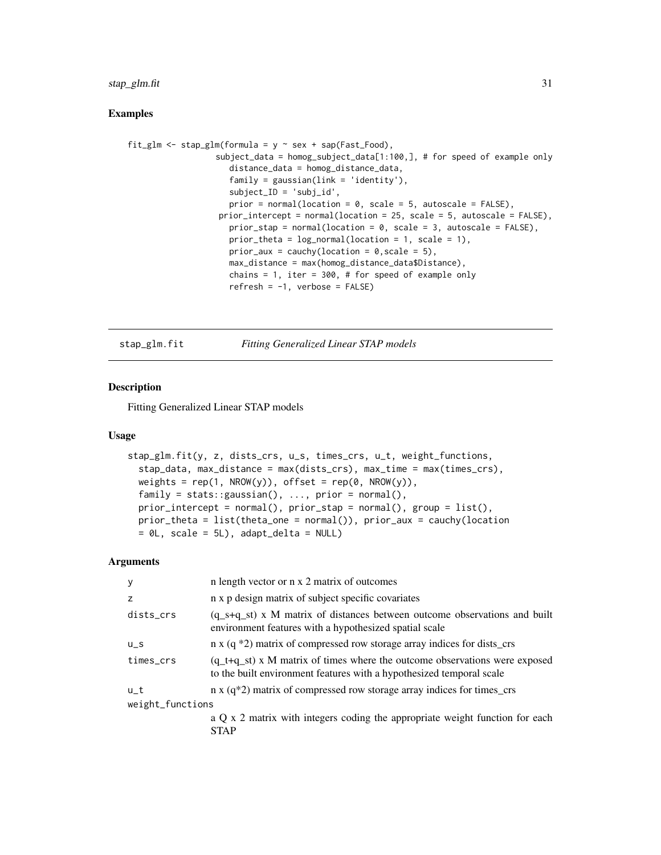## <span id="page-30-0"></span>stap\_glm.fit 31

## Examples

```
fit_glm <- stap_glm(formula = y \sim sex + sap(Fast_Food),
                  subject_data = homog_subject_data[1:100,], # for speed of example only
                     distance_data = homog_distance_data,
                     family = gaussian(link = 'identity'),
                     subject_ID = 'subj_id',
                     prior = normal(location = 0, scale = 5, autoscale = FALSE),
                   prior_intercept = normal(location = 25, scale = 5, autoscale = FALSE),
                     prior_stap = normal(location = 0, scale = 3, autoscale = FALSE),
                     prior_theta = log\_normal(location = 1, scale = 1),
                     prior_aux = cauchy(location = 0, scale = 5),
                     max_distance = max(homog_distance_data$Distance),
                     chains = 1, iter = 300, # for speed of example only
                     refresh = -1, verbose = FALSE)
```
stap\_glm.fit *Fitting Generalized Linear STAP models*

## Description

Fitting Generalized Linear STAP models

#### Usage

```
stap_glm.fit(y, z, dists_crs, u_s, times_crs, u_t, weight_functions,
  stap_data, max_distance = max(dists_crs), max_time = max(times_crs),
  weights = rep(1, \text{ NROW}(y)), offset = rep(0, \text{ NROW}(y)),family = stats::gaussian(), ..., prior = normal(),prior_intercept = normal(), prior_stap = normal(), group = list(),
  prior_theta = list(theta_one = normal()), prior_aux = cauchy(location
 = 0L, scale = 5L), adapt_delta = NULL)
```
## **Arguments**

| y                | n length vector or n x 2 matrix of outcomes                                                                                                          |
|------------------|------------------------------------------------------------------------------------------------------------------------------------------------------|
| z                | n x p design matrix of subject specific covariates                                                                                                   |
| dists_crs        | $(q_{s+q_{s+1}})$ x M matrix of distances between outcome observations and built<br>environment features with a hypothesized spatial scale           |
| $U_S$            | n x $(q * 2)$ matrix of compressed row storage array indices for dists_crs                                                                           |
| times_crs        | $(q_t+q_st)$ x M matrix of times where the outcome observations were exposed<br>to the built environment features with a hypothesized temporal scale |
| u t              | $n \times (q^*2)$ matrix of compressed row storage array indices for times_crs                                                                       |
| weight_functions |                                                                                                                                                      |
|                  | a Q x 2 matrix with integers coding the appropriate weight function for each<br><b>STAP</b>                                                          |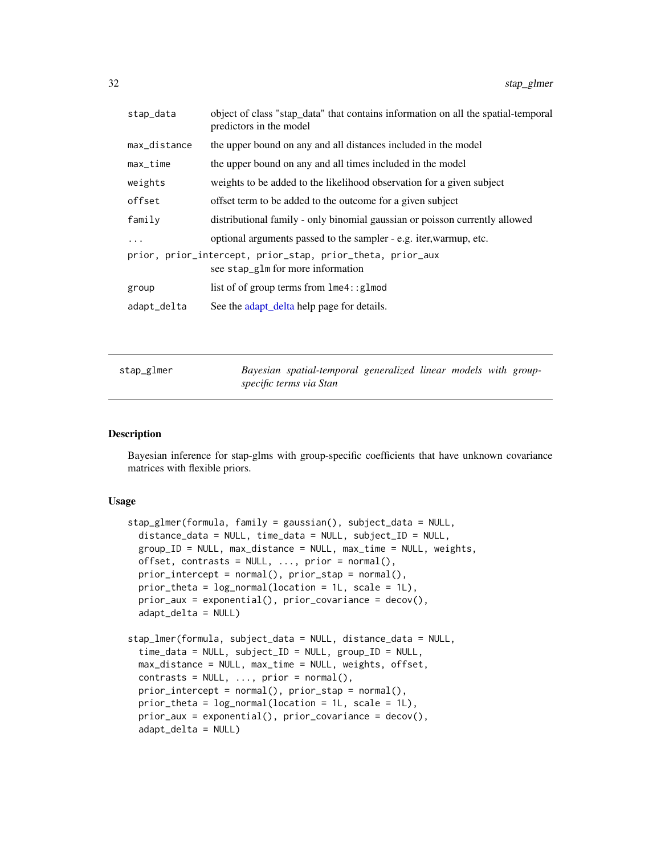<span id="page-31-0"></span>

| stap_data    | object of class "stap_data" that contains information on all the spatial-temporal<br>predictors in the model |
|--------------|--------------------------------------------------------------------------------------------------------------|
| max_distance | the upper bound on any and all distances included in the model                                               |
| $max_time$   | the upper bound on any and all times included in the model                                                   |
| weights      | weights to be added to the likelihood observation for a given subject                                        |
| offset       | offset term to be added to the outcome for a given subject                                                   |
| family       | distributional family - only binomial gaussian or poisson currently allowed                                  |
| $\ddotsc$    | optional arguments passed to the sampler - e.g. iter, warmup, etc.                                           |
|              | prior, prior_intercept, prior_stap, prior_theta, prior_aux<br>see stap_glm for more information              |
| group        | list of of group terms from $l$ me4:: $glmod$                                                                |
| adapt_delta  | See the adapt_delta help page for details.                                                                   |
|              |                                                                                                              |

<span id="page-31-1"></span>

| stap_glmer |                         | Bayesian spatial-temporal generalized linear models with group- |  |  |  |
|------------|-------------------------|-----------------------------------------------------------------|--|--|--|
|            | specific terms via Stan |                                                                 |  |  |  |

## Description

Bayesian inference for stap-glms with group-specific coefficients that have unknown covariance matrices with flexible priors.

## Usage

```
stap_glmer(formula, family = gaussian(), subject_data = NULL,
 distance_data = NULL, time_data = NULL, subject_ID = NULL,
 group_ID = NULL, max_distance = NULL, max_time = NULL, weights,
 offset, contrasts = NULL, ..., prior = normal(),prior_intercept = normal(), prior_stap = normal(),
 prior_theta = log_normal(location = 1L, scale = 1L),
 prior_aux = exponential(), prior_covariance = decov(),
  adapt_delta = NULL)
stap_lmer(formula, subject_data = NULL, distance_data = NULL,
  time_data = NULL, subject_ID = NULL, group_ID = NULL,
 max_distance = NULL, max_time = NULL, weights, offset,
 contrast = NULL, ..., prior = normal(),prior\_intercept = normal(), prior\_stop = normal(),prior_theta = log\_normal(location = 1L, scale = 1L),
 prior_aux = exponential(), prior_covariance = decov(),
  adapt_delta = NULL)
```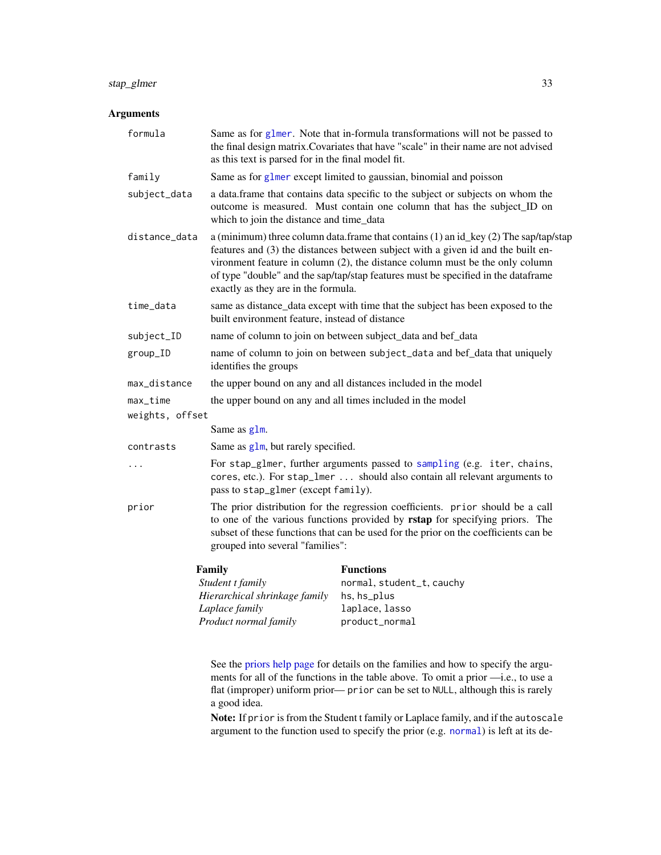## <span id="page-32-0"></span>stap\_glmer 33

## Arguments

| formula         | Same as for glmer. Note that in-formula transformations will not be passed to<br>the final design matrix. Covariates that have "scale" in their name are not advised<br>as this text is parsed for in the final model fit.                                                                                                                                                                  |                                                                                                                                                                                                                                                       |  |  |
|-----------------|---------------------------------------------------------------------------------------------------------------------------------------------------------------------------------------------------------------------------------------------------------------------------------------------------------------------------------------------------------------------------------------------|-------------------------------------------------------------------------------------------------------------------------------------------------------------------------------------------------------------------------------------------------------|--|--|
| family          | Same as for glmer except limited to gaussian, binomial and poisson                                                                                                                                                                                                                                                                                                                          |                                                                                                                                                                                                                                                       |  |  |
| subject_data    | a data.frame that contains data specific to the subject or subjects on whom the<br>outcome is measured. Must contain one column that has the subject_ID on<br>which to join the distance and time_data                                                                                                                                                                                      |                                                                                                                                                                                                                                                       |  |  |
| distance_data   | a (minimum) three column data.frame that contains $(1)$ an id_key $(2)$ The sap/tap/stap<br>features and (3) the distances between subject with a given id and the built en-<br>vironment feature in column $(2)$ , the distance column must be the only column<br>of type "double" and the sap/tap/stap features must be specified in the dataframe<br>exactly as they are in the formula. |                                                                                                                                                                                                                                                       |  |  |
| time_data       | same as distance_data except with time that the subject has been exposed to the<br>built environment feature, instead of distance                                                                                                                                                                                                                                                           |                                                                                                                                                                                                                                                       |  |  |
| subject_ID      | name of column to join on between subject_data and bef_data                                                                                                                                                                                                                                                                                                                                 |                                                                                                                                                                                                                                                       |  |  |
| group_ID        | name of column to join on between subject_data and bef_data that uniquely<br>identifies the groups                                                                                                                                                                                                                                                                                          |                                                                                                                                                                                                                                                       |  |  |
| max_distance    | the upper bound on any and all distances included in the model                                                                                                                                                                                                                                                                                                                              |                                                                                                                                                                                                                                                       |  |  |
| max_time        |                                                                                                                                                                                                                                                                                                                                                                                             | the upper bound on any and all times included in the model                                                                                                                                                                                            |  |  |
| weights, offset |                                                                                                                                                                                                                                                                                                                                                                                             |                                                                                                                                                                                                                                                       |  |  |
|                 | Same as glm.                                                                                                                                                                                                                                                                                                                                                                                |                                                                                                                                                                                                                                                       |  |  |
| contrasts       | Same as glm, but rarely specified.                                                                                                                                                                                                                                                                                                                                                          |                                                                                                                                                                                                                                                       |  |  |
| $\cdots$        | pass to stap_glmer (except family).                                                                                                                                                                                                                                                                                                                                                         | For stap_glmer, further arguments passed to sampling (e.g. iter, chains,<br>cores, etc.). For stap_lmer  should also contain all relevant arguments to                                                                                                |  |  |
| prior           | grouped into several "families":                                                                                                                                                                                                                                                                                                                                                            | The prior distribution for the regression coefficients. prior should be a call<br>to one of the various functions provided by rstap for specifying priors. The<br>subset of these functions that can be used for the prior on the coefficients can be |  |  |
|                 | Family                                                                                                                                                                                                                                                                                                                                                                                      | <b>Functions</b>                                                                                                                                                                                                                                      |  |  |
|                 | Student t family                                                                                                                                                                                                                                                                                                                                                                            | normal, student_t, cauchy                                                                                                                                                                                                                             |  |  |
|                 | Hierarchical shrinkage family                                                                                                                                                                                                                                                                                                                                                               | hs, hs_plus                                                                                                                                                                                                                                           |  |  |
|                 | Laplace family<br>Product normal family                                                                                                                                                                                                                                                                                                                                                     | laplace, lasso<br>product_normal                                                                                                                                                                                                                      |  |  |
|                 |                                                                                                                                                                                                                                                                                                                                                                                             |                                                                                                                                                                                                                                                       |  |  |

See the [priors help page](#page-17-1) for details on the families and how to specify the arguments for all of the functions in the table above. To omit a prior —i.e., to use a flat (improper) uniform prior— prior can be set to NULL, although this is rarely a good idea.

Note: If prior is from the Student t family or Laplace family, and if the autoscale argument to the function used to specify the prior (e.g. [normal](#page-17-2)) is left at its de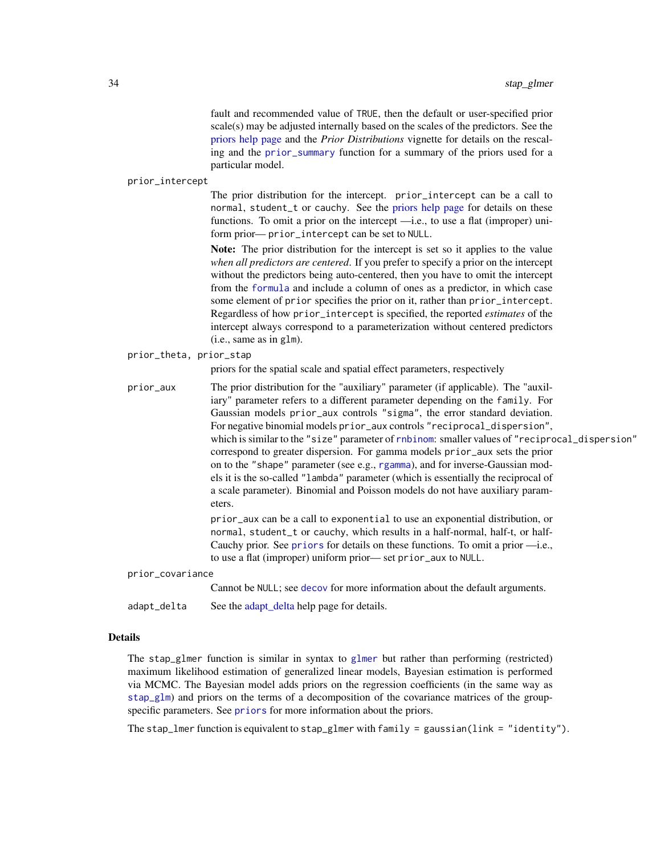fault and recommended value of TRUE, then the default or user-specified prior scale(s) may be adjusted internally based on the scales of the predictors. See the [priors help page](#page-17-1) and the *Prior Distributions* vignette for details on the rescaling and the [prior\\_summary](#page-21-1) function for a summary of the priors used for a particular model.

#### <span id="page-33-0"></span>prior\_intercept

The prior distribution for the intercept. prior\_intercept can be a call to normal, student\_t or cauchy. See the [priors help page](#page-17-1) for details on these functions. To omit a prior on the intercept —i.e., to use a flat (improper) uniform prior— prior\_intercept can be set to NULL.

Note: The prior distribution for the intercept is set so it applies to the value *when all predictors are centered*. If you prefer to specify a prior on the intercept without the predictors being auto-centered, then you have to omit the intercept from the [formula](#page-0-0) and include a column of ones as a predictor, in which case some element of prior specifies the prior on it, rather than prior\_intercept. Regardless of how prior\_intercept is specified, the reported *estimates* of the intercept always correspond to a parameterization without centered predictors (i.e., same as in glm).

#### prior\_theta, prior\_stap

priors for the spatial scale and spatial effect parameters, respectively

prior\_aux The prior distribution for the "auxiliary" parameter (if applicable). The "auxiliary" parameter refers to a different parameter depending on the family. For Gaussian models prior\_aux controls "sigma", the error standard deviation. For negative binomial models prior\_aux controls "reciprocal\_dispersion", which is similar to the "size" parameter of [rnbinom](#page-0-0): smaller values of "reciprocal\_dispersion" correspond to greater dispersion. For gamma models prior\_aux sets the prior on to the "shape" parameter (see e.g., [rgamma](#page-0-0)), and for inverse-Gaussian models it is the so-called "lambda" parameter (which is essentially the reciprocal of a scale parameter). Binomial and Poisson models do not have auxiliary parameters. prior\_aux can be a call to exponential to use an exponential distribution, or

normal, student\_t or cauchy, which results in a half-normal, half-t, or half-Cauchy prior. See [priors](#page-17-1) for details on these functions. To omit a prior —i.e., to use a flat (improper) uniform prior— set prior\_aux to NULL.

prior\_covariance

Cannot be NULL; see [decov](#page-17-2) for more information about the default arguments.

[adapt\\_delta](#page-2-2) See the adapt\_delta help page for details.

## Details

The stap\_glmer function is similar in syntax to [glmer](#page-0-0) but rather than performing (restricted) maximum likelihood estimation of generalized linear models, Bayesian estimation is performed via MCMC. The Bayesian model adds priors on the regression coefficients (in the same way as [stap\\_glm](#page-27-1)) and priors on the terms of a decomposition of the covariance matrices of the groupspecific parameters. See [priors](#page-17-1) for more information about the priors.

The stap\_lmer function is equivalent to stap\_glmer with family = gaussian(link = "identity").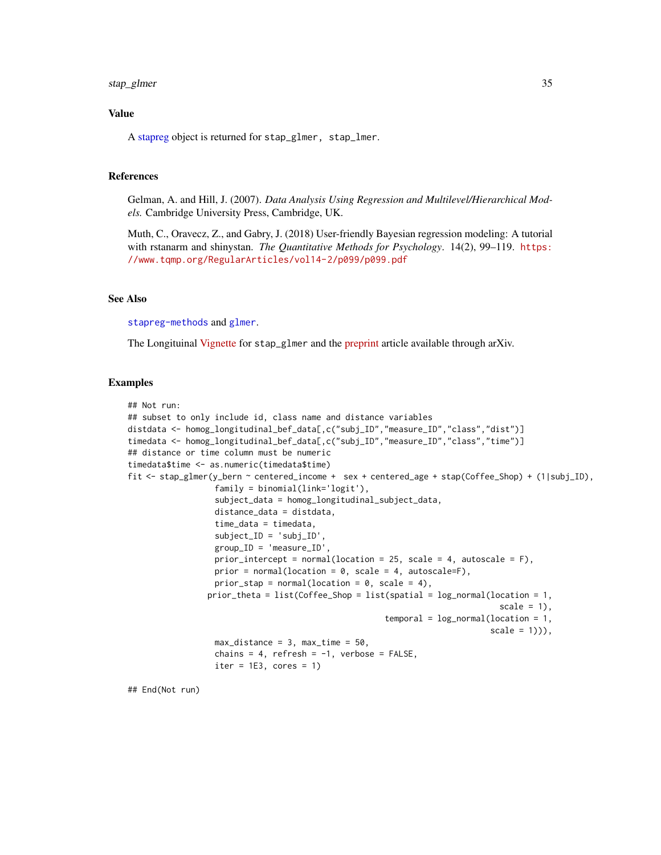## <span id="page-34-0"></span>stap\_glmer 35

## Value

A [stapreg](#page-25-1) object is returned for stap\_glmer, stap\_lmer.

## References

Gelman, A. and Hill, J. (2007). *Data Analysis Using Regression and Multilevel/Hierarchical Models.* Cambridge University Press, Cambridge, UK.

Muth, C., Oravecz, Z., and Gabry, J. (2018) User-friendly Bayesian regression modeling: A tutorial with rstanarm and shinystan. *The Quantitative Methods for Psychology*. 14(2), 99–119. [https:](https://www.tqmp.org/RegularArticles/vol14-2/p099/p099.pdf) [//www.tqmp.org/RegularArticles/vol14-2/p099/p099.pdf](https://www.tqmp.org/RegularArticles/vol14-2/p099/p099.pdf)

## See Also

[stapreg-methods](#page-23-1) and [glmer](#page-0-0).

The Longituinal [Vignette](https://biostatistics4socialimpact.github.io/rstap/articles/longitudinal-I.html) for stap\_glmer and the [preprint](http://arxiv.org/abs/1812.10208) article available through arXiv.

## Examples

```
## Not run:
## subset to only include id, class name and distance variables
distdata <- homog_longitudinal_bef_data[,c("subj_ID","measure_ID","class","dist")]
timedata <- homog_longitudinal_bef_data[,c("subj_ID","measure_ID","class","time")]
## distance or time column must be numeric
timedata$time <- as.numeric(timedata$time)
fit <- stap_glmer(y_bern ~ centered_income + sex + centered_age + stap(Coffee_Shop) + (1|subj_ID),
                  family = binomial(link='logit'),
                  subject_data = homog_longitudinal_subject_data,
                  distance_data = distdata,
                  time_data = timedata,
                  subject_ID = 'subj_ID',
                  group_ID = 'measure_ID',
                  prior_intercept = normal(location = 25, scale = 4, autoscale = F),
                  prior = normal(location = 0, scale = 4, autoscale=F),
                  prior_stap = normal(location = 0, scale = 4),
                 prior_theta = list(Coffee_Shop = list(spatial = log_normal(location = 1,
                                                                              scale = 1),
                                                      temporal = log-normal(location = 1,scale = 1)),
                  max_distance = 3, max_time = 50,
                  chains = 4, refresh = -1, verbose = FALSE,
                  iter = 1E3, cores = 1)
```
## End(Not run)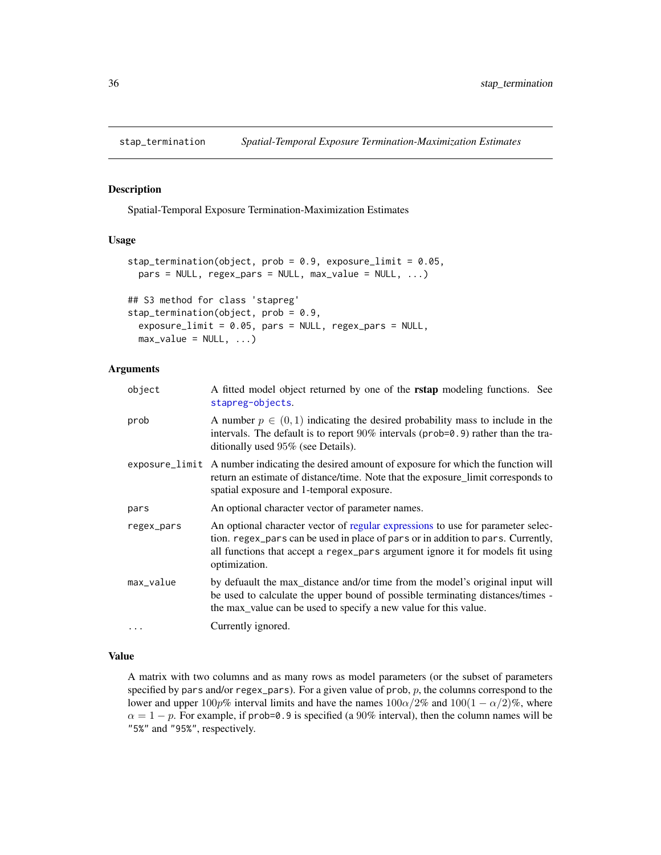<span id="page-35-0"></span>

## Description

Spatial-Temporal Exposure Termination-Maximization Estimates

## Usage

```
stap_termination(object, prob = 0.9, exposure_limit = 0.05,
 pars = NULL, regex\_pars = NULL, max_value = NULL, ...)## S3 method for class 'stapreg'
stap_termination(object, prob = 0.9,
  exposure_limit = 0.05, pars = NULL, regex_pars = NULL,
 max_value = NULL, ...)
```
## Arguments

| object     | A fitted model object returned by one of the <b>rstap</b> modeling functions. See<br>stapreg-objects.                                                                                                                                                                  |
|------------|------------------------------------------------------------------------------------------------------------------------------------------------------------------------------------------------------------------------------------------------------------------------|
| prob       | A number $p \in (0, 1)$ indicating the desired probability mass to include in the<br>intervals. The default is to report $90\%$ intervals (prob=0.9) rather than the tra-<br>ditionally used 95% (see Details).                                                        |
|            | exposure_limit A number indicating the desired amount of exposure for which the function will<br>return an estimate of distance/time. Note that the exposure_limit corresponds to<br>spatial exposure and 1-temporal exposure.                                         |
| pars       | An optional character vector of parameter names.                                                                                                                                                                                                                       |
| regex_pars | An optional character vector of regular expressions to use for parameter selec-<br>tion. regex_pars can be used in place of pars or in addition to pars. Currently,<br>all functions that accept a regex_pars argument ignore it for models fit using<br>optimization. |
| max_value  | by defuault the max_distance and/or time from the model's original input will<br>be used to calculate the upper bound of possible terminating distances/times -<br>the max_value can be used to specify a new value for this value.                                    |
| $\cdots$   | Currently ignored.                                                                                                                                                                                                                                                     |

## Value

A matrix with two columns and as many rows as model parameters (or the subset of parameters specified by pars and/or regex\_pars). For a given value of prob,  $p$ , the columns correspond to the lower and upper  $100p\%$  interval limits and have the names  $100\alpha/2\%$  and  $100(1 - \alpha/2)\%$ , where  $\alpha = 1 - p$ . For example, if prob=0.9 is specified (a 90% interval), then the column names will be "5%" and "95%", respectively.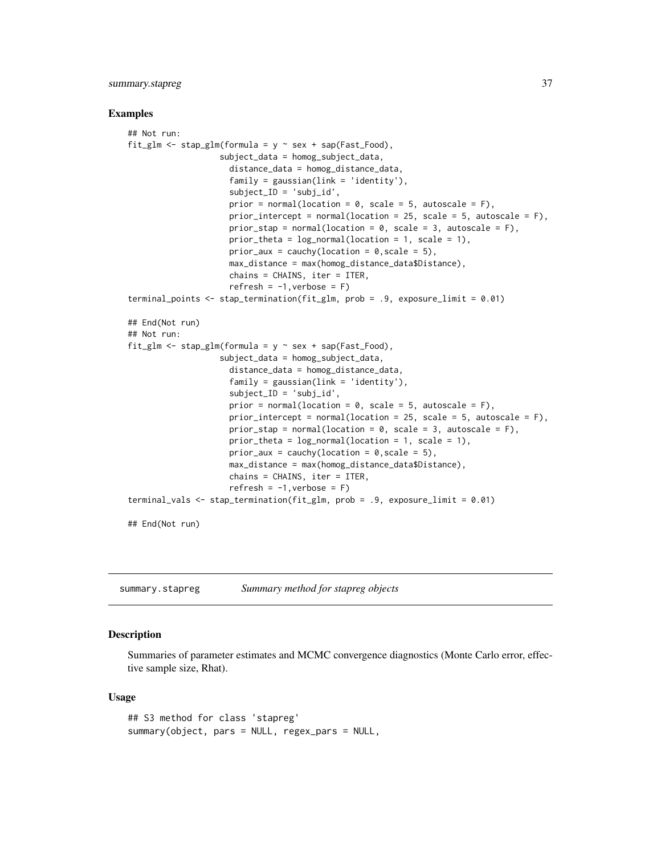## <span id="page-36-0"></span>summary.stapreg 37

#### Examples

```
## Not run:
fit_glm <- stap_glm(formula = y \sim sex + sap(Fast_Food),
                   subject_data = homog_subject_data,
                     distance_data = homog_distance_data,
                     family = gaussian(link = 'identity'),
                     subject_ID = 'subj_id',
                     prior = normal(location = 0, scale = 5, autoscale = F),
                     prior_intercept = normal(location = 25, scale = 5, autoscale = F),
                     prior_stap = normal(location = 0, scale = 3, autoscale = F),
                     prior_theta = log\_normal(location = 1, scale = 1),
                     prior_aux = cauchy(location = 0, scale = 5),
                     max_distance = max(homog_distance_data$Distance),
                     chains = CHAINS, iter = ITER,
                     refresh = -1, verbose = F)terminal_points <- stap_termination(fit_glm, prob = .9, exposure_limit = 0.01)
## End(Not run)
## Not run:
fit_glm <- stap_glm(formula = y \sim sex + sap(Fast_Food),
                   subject_data = homog_subject_data,
                     distance_data = homog_distance_data,
                     family = gaussian(line = 'identity'),
                     subject\_ID = 'subj_id',prior = normal(location = 0, scale = 5, autoscale = F),
                     prior_intercept = normal(location = 25, scale = 5, autoscale = F),
                     prior_stap = normal(location = 0, scale = 3, autoscale = F),
                     prior_theta = log\_normal(location = 1, scale = 1),
                     prior_aux = cauchy(location = 0, scale = 5),
                     max_distance = max(homog_distance_data$Distance),
                     chains = CHAINS, iter = ITER,
                     refresh = -1, verbose = F)terminal_vals <- stap_termination(fit_glm, prob = .9, exposure_limit = 0.01)
## End(Not run)
```
<span id="page-36-1"></span>summary.stapreg *Summary method for stapreg objects*

#### Description

Summaries of parameter estimates and MCMC convergence diagnostics (Monte Carlo error, effective sample size, Rhat).

#### Usage

```
## S3 method for class 'stapreg'
summary(object, pars = NULL, regex_pars = NULL,
```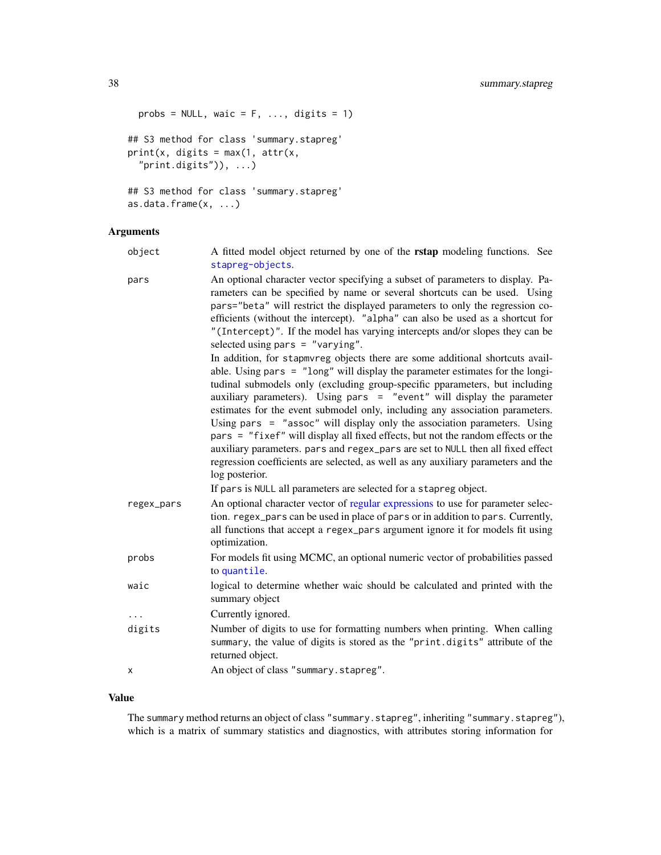```
probs = NULL, waic = F, ..., digits = 1)
## S3 method for class 'summary.stapreg'
print(x, \text{ digits} = max(1, \text{ attr}(x,"print.digits"), ...)
## S3 method for class 'summary.stapreg'
```

```
as.data.frame(x, ...)
```
## Arguments

| object | A fitted model object returned by one of the <b>rstap</b> modeling functions. See |  |
|--------|-----------------------------------------------------------------------------------|--|
|        | stapreg-objects.                                                                  |  |

```
pars An optional character vector specifying a subset of parameters to display. Pa-
                 rameters can be specified by name or several shortcuts can be used. Using
                 pars="beta" will restrict the displayed parameters to only the regression co-
                 efficients (without the intercept). "alpha" can also be used as a shortcut for
                  "(Intercept)". If the model has varying intercepts and/or slopes they can be
                 selected using pars = "varying".
                 In addition, for stapmvreg objects there are some additional shortcuts avail-
                 able. Using pars = "long" will display the parameter estimates for the longi-
                 tudinal submodels only (excluding group-specific pparameters, but including
                 auxiliary parameters). Using pars = "event" will display the parameter
                 estimates for the event submodel only, including any association parameters.
                 Using pars = "assoc" will display only the association parameters. Using
                 pars = "fixef" will display all fixed effects, but not the random effects or the
                 auxiliary parameters. pars and regex_pars are set to NULL then all fixed effect
                 regression coefficients are selected, as well as any auxiliary parameters and the
                 log posterior.
                 If pars is NULL all parameters are selected for a stapreg object.
regex_pars An optional character vector of regular expressions to use for parameter selec-
                 tion. regex_pars can be used in place of pars or in addition to pars. Currently,
                 all functions that accept a regex_pars argument ignore it for models fit using
                 optimization.
probs For models fit using MCMC, an optional numeric vector of probabilities passed
                 to quantile.
waic logical to determine whether waic should be calculated and printed with the
                 summary object
... Currently ignored.
digits Number of digits to use for formatting numbers when printing. When calling
                 summary, the value of digits is stored as the "print.digits" attribute of the
                 returned object.
x An object of class "summary.stapreg".
```
#### Value

The summary method returns an object of class "summary.stapreg", inheriting "summary.stapreg"), which is a matrix of summary statistics and diagnostics, with attributes storing information for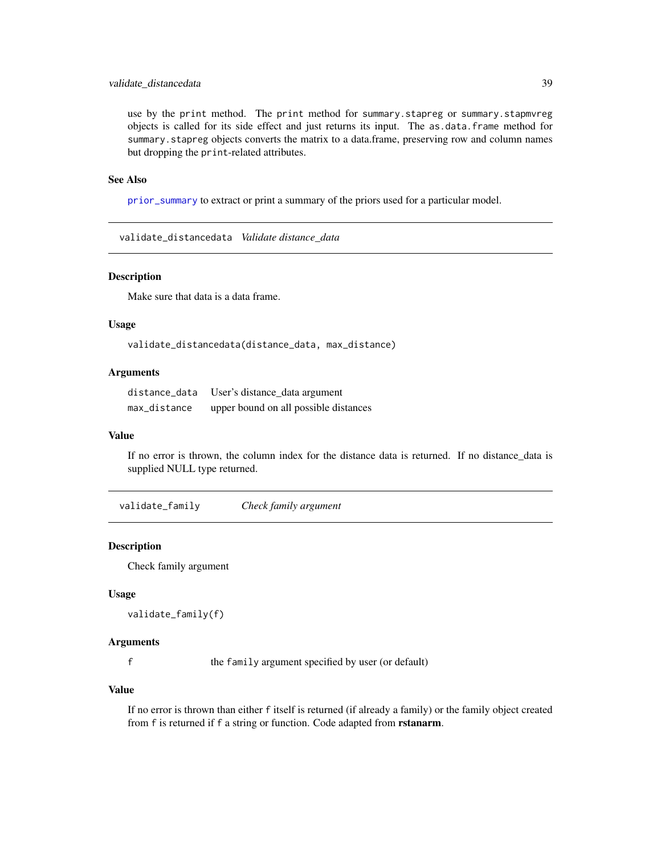## <span id="page-38-0"></span>validate\_distancedata 39

use by the print method. The print method for summary.stapreg or summary.stapmvreg objects is called for its side effect and just returns its input. The as.data.frame method for summary. stapreg objects converts the matrix to a data.frame, preserving row and column names but dropping the print-related attributes.

#### See Also

[prior\\_summary](#page-21-1) to extract or print a summary of the priors used for a particular model.

validate\_distancedata *Validate distance\_data*

## Description

Make sure that data is a data frame.

#### Usage

validate\_distancedata(distance\_data, max\_distance)

## Arguments

| distance data | User's distance_data argument         |
|---------------|---------------------------------------|
| max_distance  | upper bound on all possible distances |

#### Value

If no error is thrown, the column index for the distance data is returned. If no distance\_data is supplied NULL type returned.

validate\_family *Check family argument*

## Description

Check family argument

## Usage

```
validate_family(f)
```
## Arguments

f the family argument specified by user (or default)

## Value

If no error is thrown than either f itself is returned (if already a family) or the family object created from f is returned if f a string or function. Code adapted from rstanarm.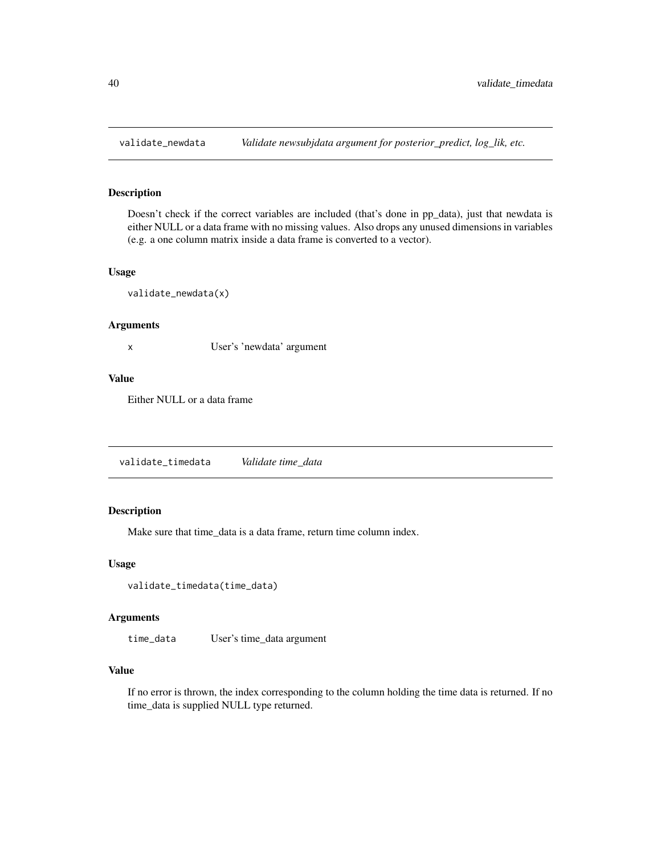<span id="page-39-0"></span>

## Description

Doesn't check if the correct variables are included (that's done in pp\_data), just that newdata is either NULL or a data frame with no missing values. Also drops any unused dimensions in variables (e.g. a one column matrix inside a data frame is converted to a vector).

## Usage

validate\_newdata(x)

#### Arguments

x User's 'newdata' argument

#### Value

Either NULL or a data frame

validate\_timedata *Validate time\_data*

## Description

Make sure that time\_data is a data frame, return time column index.

## Usage

```
validate_timedata(time_data)
```
## Arguments

time\_data User's time\_data argument

## Value

If no error is thrown, the index corresponding to the column holding the time data is returned. If no time\_data is supplied NULL type returned.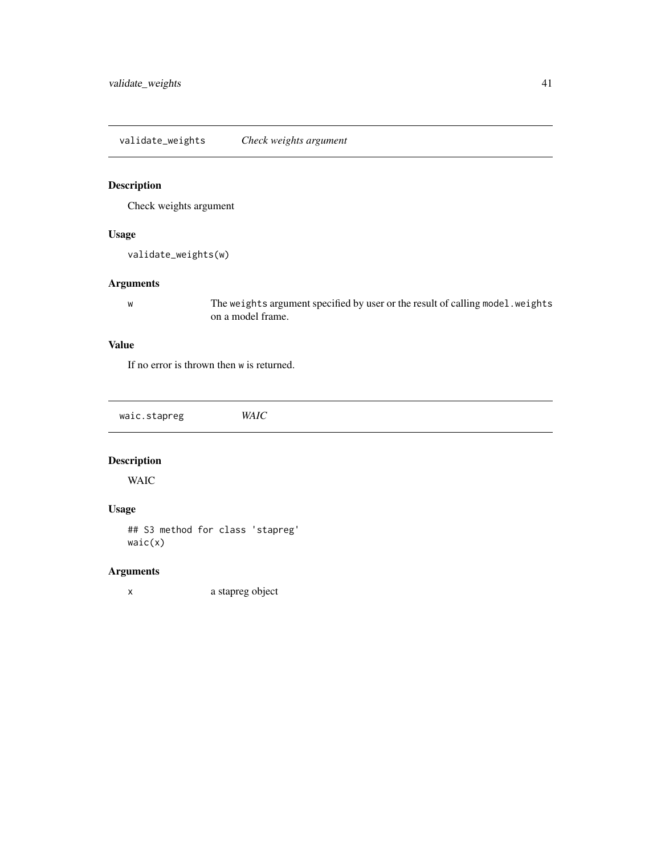<span id="page-40-0"></span>validate\_weights *Check weights argument*

## Description

Check weights argument

## Usage

```
validate_weights(w)
```
## Arguments

w The weights argument specified by user or the result of calling model.weights on a model frame.

## Value

If no error is thrown then w is returned.

waic.stapreg *WAIC*

## Description

WAIC

## Usage

## S3 method for class 'stapreg' waic(x)

## Arguments

x a stapreg object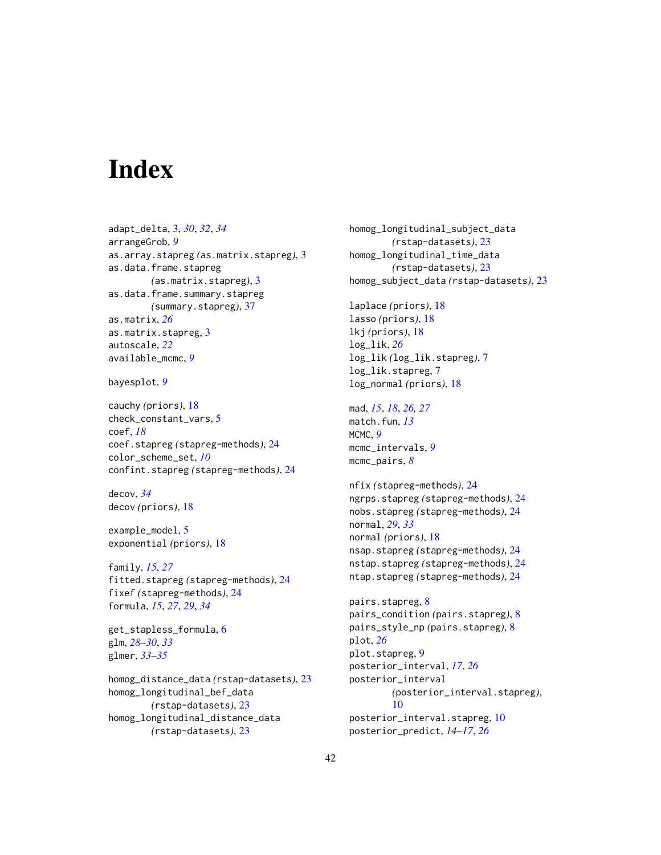# <span id="page-41-0"></span>**Index**

adapt\_delta, [3,](#page-2-0) *[30](#page-29-0)*, *[32](#page-31-0)*, *[34](#page-33-0)* arrangeGrob, *[9](#page-8-0)* as.array.stapreg *(*as.matrix.stapreg*)*, [3](#page-2-0) as.data.frame.stapreg *(*as.matrix.stapreg*)*, [3](#page-2-0) as.data.frame.summary.stapreg *(*summary.stapreg*)*, [37](#page-36-0) as.matrix, *[26](#page-25-0)* as.matrix.stapreg, [3](#page-2-0) autoscale, *[22](#page-21-0)* available\_mcmc, *[9](#page-8-0)*

bayesplot, *[9](#page-8-0)*

cauchy *(*priors*)*, [18](#page-17-0) check\_constant\_vars, [5](#page-4-0) coef, *[18](#page-17-0)* coef.stapreg *(*stapreg-methods*)*, [24](#page-23-0) color\_scheme\_set, *[10](#page-9-0)* confint.stapreg *(*stapreg-methods*)*, [24](#page-23-0)

decov, *[34](#page-33-0)* decov *(*priors*)*, [18](#page-17-0)

example\_model, [5](#page-4-0) exponential *(*priors*)*, [18](#page-17-0)

family, *[15](#page-14-0)*, *[27](#page-26-0)* fitted.stapreg *(*stapreg-methods*)*, [24](#page-23-0) fixef *(*stapreg-methods*)*, [24](#page-23-0) formula, *[15](#page-14-0)*, *[27](#page-26-0)*, *[29](#page-28-0)*, *[34](#page-33-0)*

get\_stapless\_formula, [6](#page-5-0) glm, *[28](#page-27-0)[–30](#page-29-0)*, *[33](#page-32-0)* glmer, *[33](#page-32-0)[–35](#page-34-0)*

homog\_distance\_data *(*rstap-datasets*)*, [23](#page-22-0) homog\_longitudinal\_bef\_data *(*rstap-datasets*)*, [23](#page-22-0) homog\_longitudinal\_distance\_data *(*rstap-datasets*)*, [23](#page-22-0)

homog\_longitudinal\_subject\_data *(*rstap-datasets*)*, [23](#page-22-0) homog\_longitudinal\_time\_data *(*rstap-datasets*)*, [23](#page-22-0) homog\_subject\_data *(*rstap-datasets*)*, [23](#page-22-0) laplace *(*priors*)*, [18](#page-17-0) lasso *(*priors*)*, [18](#page-17-0) lkj *(*priors*)*, [18](#page-17-0) log\_lik, *[26](#page-25-0)* log\_lik *(*log\_lik.stapreg*)*, [7](#page-6-0) log\_lik.stapreg, [7](#page-6-0) log\_normal *(*priors*)*, [18](#page-17-0) mad, *[15](#page-14-0)*, *[18](#page-17-0)*, *[26,](#page-25-0) [27](#page-26-0)* match.fun, *[13](#page-12-0)* MCMC, *[9](#page-8-0)* mcmc\_intervals, *[9](#page-8-0)* mcmc\_pairs, *[8](#page-7-0)* nfix *(*stapreg-methods*)*, [24](#page-23-0) ngrps.stapreg *(*stapreg-methods*)*, [24](#page-23-0) nobs.stapreg *(*stapreg-methods*)*, [24](#page-23-0) normal, *[29](#page-28-0)*, *[33](#page-32-0)* normal *(*priors*)*, [18](#page-17-0) nsap.stapreg *(*stapreg-methods*)*, [24](#page-23-0) nstap.stapreg *(*stapreg-methods*)*, [24](#page-23-0) ntap.stapreg *(*stapreg-methods*)*, [24](#page-23-0) pairs.stapreg, [8](#page-7-0) pairs\_condition *(*pairs.stapreg*)*, [8](#page-7-0) pairs\_style\_np *(*pairs.stapreg*)*, [8](#page-7-0) plot, *[26](#page-25-0)* plot.stapreg, [9](#page-8-0) posterior\_interval, *[17](#page-16-0)*, *[26](#page-25-0)* posterior\_interval *(*posterior\_interval.stapreg*)*, [10](#page-9-0) posterior\_interval.stapreg, [10](#page-9-0) posterior\_predict, *[14](#page-13-0)[–17](#page-16-0)*, *[26](#page-25-0)*